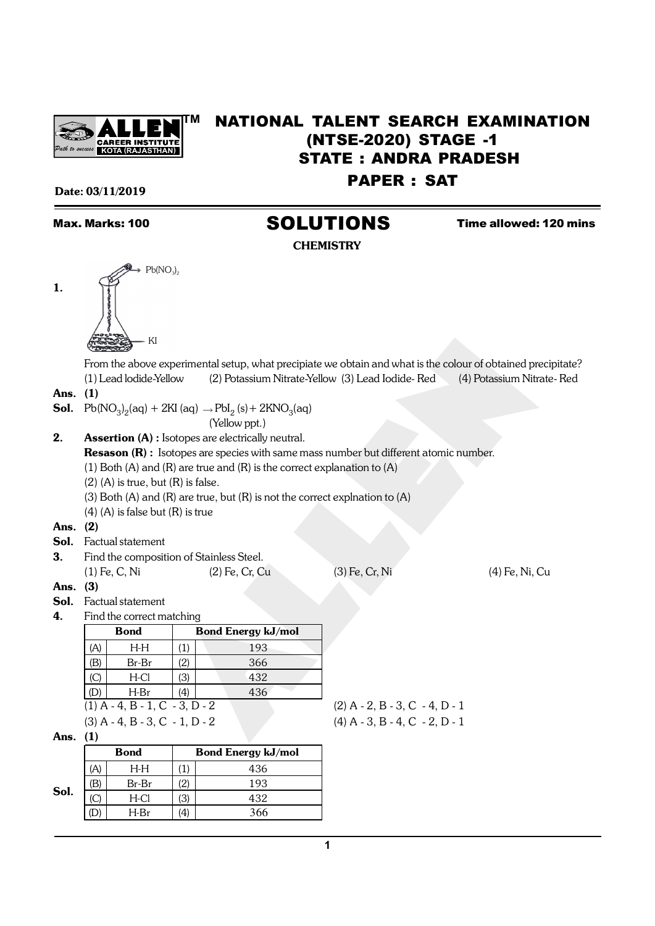

## **TM** NATIONAL TALENT SEARCH EXAMINATION (NTSE-2020) STAGE -1 STATE : ANDRA PRADESH PAPER : SAT

#### Date: 03/11/2019

# Max. Marks: 100 **SOLUTIONS** Time allowed: 120 mins

**CHEMISTRY** 

1.



From the above experimental setup, what precipiate we obtain and what is the colour of obtained precipitate? (1) Lead lodide-Yellow (2) Potassium Nitrate-Yellow (3) Lead Iodide- Red (4) Potassium Nitrate- Red

#### Ans. (1)

**Sol.**  $Pb(NO_3)_2$ (aq) + 2KI (aq)  $\rightarrow$   $PbI_2$  (s) + 2KNO<sub>3</sub>(aq)

 $Pb(NO_3)$ 

KI

(Yellow ppt.)

**2.** Assertion (A) : Isotopes are electrically neutral.

Resason (R) : Isotopes are species with same mass number but different atomic number.

(1) Both (A) and (R) are true and (R) is the correct explanation to (A)

 $(2)$  (A) is true, but  $(R)$  is false.

(3) Both (A) and (R) are true, but (R) is not the correct explnation to (A)

(4) (A) is false but (R) is true

#### Ans. (2)

- Sol. Factual statement
- 3. Find the composition of Stainless Steel. (1) Fe, C, Ni (2) Fe, Cr, Cu (3) Fe, Cr, Ni (4) Fe, Ni, Cu

#### Ans. (3)

Sol. Factual statement

4. Find the correct matching

|                                  | Bond                                                                                                                                                                                                                          |     | <b>Bond Energy kJ/mol</b> |  |  |  |  |
|----------------------------------|-------------------------------------------------------------------------------------------------------------------------------------------------------------------------------------------------------------------------------|-----|---------------------------|--|--|--|--|
| A                                | H-H                                                                                                                                                                                                                           |     | 193                       |  |  |  |  |
| (B                               | Br-Br                                                                                                                                                                                                                         | 2)  | 366                       |  |  |  |  |
| C                                | H-Cl                                                                                                                                                                                                                          | 31  | 432                       |  |  |  |  |
|                                  | H-Br                                                                                                                                                                                                                          | 44) | 436                       |  |  |  |  |
| $(1)$ A - 4, B - 1, C - 3, D - 2 |                                                                                                                                                                                                                               |     |                           |  |  |  |  |
|                                  | $(0)$ $(0)$ $(1)$ $(0)$ $(1)$ $(0)$ $(1)$ $(0)$ $(1)$ $(0)$ $(1)$ $(0)$ $(1)$ $(0)$ $(1)$ $(0)$ $(1)$ $(0)$ $(1)$ $(1)$ $(1)$ $(1)$ $(1)$ $(1)$ $(1)$ $(1)$ $(1)$ $(1)$ $(1)$ $(1)$ $(1)$ $(1)$ $(1)$ $(1)$ $(1)$ $(1)$ $(1)$ |     |                           |  |  |  |  |

 $(2)$  A - 2, B - 3, C - 4, D - 1 (3) A - 4, B - 3, C - 1, D - 2 (4) A - 3, B - 4, C - 2, D - 1

Ans. (1)

|      | <b>Bond</b> | <b>Bond Energy kJ/mol</b> |     |  |  |  |
|------|-------------|---------------------------|-----|--|--|--|
|      | H-H         |                           | 436 |  |  |  |
|      | Br-Br       |                           | 193 |  |  |  |
| Sol. | H-Cl        | 3                         | 432 |  |  |  |
|      | H-Br        |                           | 366 |  |  |  |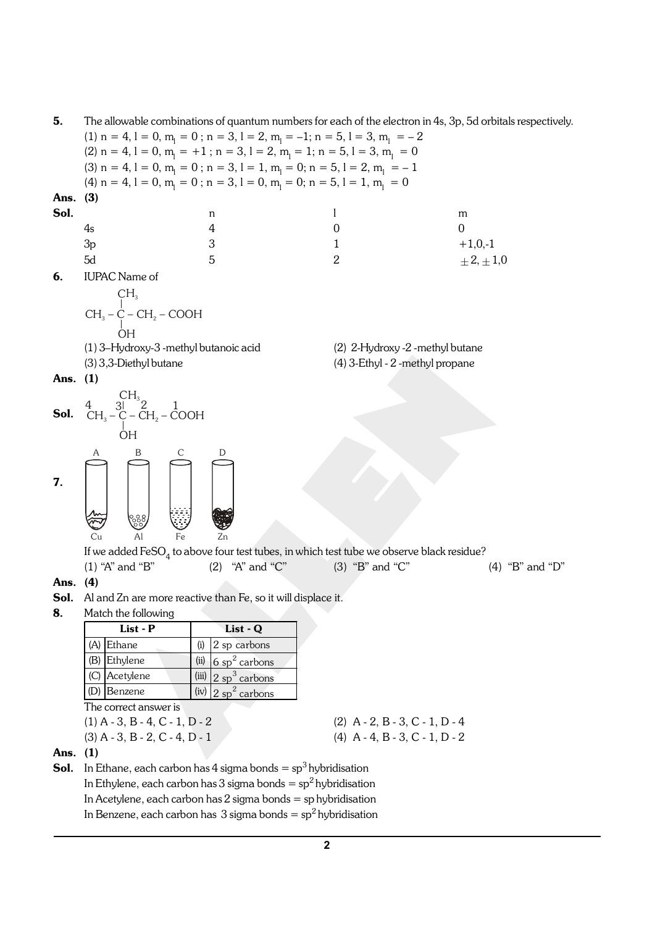| 5.                                                                |                                                                                                                                                           | The allowable combinations of quantum numbers for each of the electron in 4s, 3p, 5d orbitals respectively. |                                  |                   |  |  |
|-------------------------------------------------------------------|-----------------------------------------------------------------------------------------------------------------------------------------------------------|-------------------------------------------------------------------------------------------------------------|----------------------------------|-------------------|--|--|
|                                                                   |                                                                                                                                                           | (1) n = 4, l = 0, m <sub>1</sub> = 0; n = 3, l = 2, m <sub>1</sub> = -1; n = 5, l = 3, m <sub>1</sub> = -2  |                                  |                   |  |  |
|                                                                   |                                                                                                                                                           | (2) n = 4, 1 = 0, m <sub>1</sub> = +1; n = 3, 1 = 2, m <sub>1</sub> = 1; n = 5, 1 = 3, m <sub>1</sub> = 0   |                                  |                   |  |  |
|                                                                   |                                                                                                                                                           | (3) $n = 4$ , $l = 0$ , $m_l = 0$ ; $n = 3$ , $l = 1$ , $m_l = 0$ ; $n = 5$ , $l = 2$ , $m_l = -1$          |                                  |                   |  |  |
|                                                                   |                                                                                                                                                           | (4) $n = 4$ , $l = 0$ , $m_1 = 0$ ; $n = 3$ , $l = 0$ , $m_1 = 0$ ; $n = 5$ , $l = 1$ , $m_1 = 0$           |                                  |                   |  |  |
| Ans.                                                              | (3)                                                                                                                                                       |                                                                                                             |                                  |                   |  |  |
| Sol.                                                              |                                                                                                                                                           | n                                                                                                           | $\mathbf{l}$                     | m                 |  |  |
|                                                                   | 4s                                                                                                                                                        | 4                                                                                                           | 0                                | 0                 |  |  |
|                                                                   | 3p                                                                                                                                                        | 3                                                                                                           | 1                                | $+1,0,-1$         |  |  |
|                                                                   | 5d                                                                                                                                                        | 5                                                                                                           | $\overline{2}$                   | $\pm 2, \pm 1, 0$ |  |  |
| 6.                                                                | <b>IUPAC</b> Name of                                                                                                                                      |                                                                                                             |                                  |                   |  |  |
|                                                                   |                                                                                                                                                           |                                                                                                             |                                  |                   |  |  |
|                                                                   | $\begin{array}{c} \mathrm{CH}_3 \\  \phantom{0} \mathrm{CH}_2-\mathrm{C}-\mathrm{CH}_2-\mathrm{COOH} \\  \phantom{0} \mathrm{OH} \phantom{0} \end{array}$ |                                                                                                             |                                  |                   |  |  |
|                                                                   |                                                                                                                                                           |                                                                                                             |                                  |                   |  |  |
|                                                                   |                                                                                                                                                           |                                                                                                             |                                  |                   |  |  |
|                                                                   | (1) 3-Hydroxy-3 -methyl butanoic acid                                                                                                                     |                                                                                                             | (2) 2-Hydroxy -2 -methyl butane  |                   |  |  |
|                                                                   | (3) 3,3-Diethyl butane                                                                                                                                    |                                                                                                             | (4) 3-Ethyl - 2 -methyl propane  |                   |  |  |
| Ans. (1)                                                          |                                                                                                                                                           |                                                                                                             |                                  |                   |  |  |
|                                                                   |                                                                                                                                                           |                                                                                                             |                                  |                   |  |  |
| Sol.                                                              |                                                                                                                                                           |                                                                                                             |                                  |                   |  |  |
|                                                                   | <b>OH</b>                                                                                                                                                 |                                                                                                             |                                  |                   |  |  |
|                                                                   |                                                                                                                                                           |                                                                                                             |                                  |                   |  |  |
|                                                                   | B<br>С<br>А                                                                                                                                               | D                                                                                                           |                                  |                   |  |  |
| 7.                                                                |                                                                                                                                                           |                                                                                                             |                                  |                   |  |  |
|                                                                   |                                                                                                                                                           |                                                                                                             |                                  |                   |  |  |
|                                                                   |                                                                                                                                                           |                                                                                                             |                                  |                   |  |  |
|                                                                   |                                                                                                                                                           |                                                                                                             |                                  |                   |  |  |
|                                                                   | Cu<br>Al<br>Fe                                                                                                                                            | Zn                                                                                                          |                                  |                   |  |  |
|                                                                   |                                                                                                                                                           | If we added $\text{FeSO}_4$ to above four test tubes, in which test tube we observe black residue?          |                                  |                   |  |  |
|                                                                   | $(1)$ "A" and "B"                                                                                                                                         | "A" and "C"<br>(2)                                                                                          | $(3)$ "B" and "C"                | (4) "B" and "D"   |  |  |
| Ans.                                                              | (4)                                                                                                                                                       |                                                                                                             |                                  |                   |  |  |
|                                                                   |                                                                                                                                                           | <b>Sol.</b> Al and Zn are more reactive than Fe, so it will displace it.                                    |                                  |                   |  |  |
| 8.                                                                | Match the following                                                                                                                                       |                                                                                                             |                                  |                   |  |  |
|                                                                   | List - P                                                                                                                                                  | List - Q                                                                                                    |                                  |                   |  |  |
|                                                                   | (A) Ethane                                                                                                                                                | 2 sp carbons<br>(i)                                                                                         |                                  |                   |  |  |
|                                                                   | (B) Ethylene                                                                                                                                              | 6 sp <sup>2</sup> carbons<br>(ii)                                                                           |                                  |                   |  |  |
|                                                                   | (C) Acetylene                                                                                                                                             | (iii)<br>$2$ sp <sup>3</sup> carbons                                                                        |                                  |                   |  |  |
|                                                                   | (D) Benzene                                                                                                                                               | $2$ sp <sup>2</sup> carbons<br>(iv)                                                                         |                                  |                   |  |  |
|                                                                   | The correct answer is                                                                                                                                     |                                                                                                             |                                  |                   |  |  |
|                                                                   | $(1)$ A - 3, B - 4, C - 1, D - 2                                                                                                                          |                                                                                                             | $(2)$ A - 2, B - 3, C - 1, D - 4 |                   |  |  |
|                                                                   | $(3)$ A - 3, B - 2, C - 4, D - 1                                                                                                                          |                                                                                                             | $(4)$ A - 4, B - 3, C - 1, D - 2 |                   |  |  |
| Ans.                                                              | (1)                                                                                                                                                       |                                                                                                             |                                  |                   |  |  |
| Sol.                                                              |                                                                                                                                                           | In Ethane, each carbon has 4 sigma bonds = $sp^3$ hybridisation                                             |                                  |                   |  |  |
| In Ethylene, each carbon has 3 sigma bonds = $sp^2$ hybridisation |                                                                                                                                                           |                                                                                                             |                                  |                   |  |  |

In Acetylene, each carbon has 2 sigma bonds = sp hybridisation

In Benzene, each carbon has  $\,3\,$ sigma $\,$ bonds  $=\mathrm{sp}^2\,$ hybridisation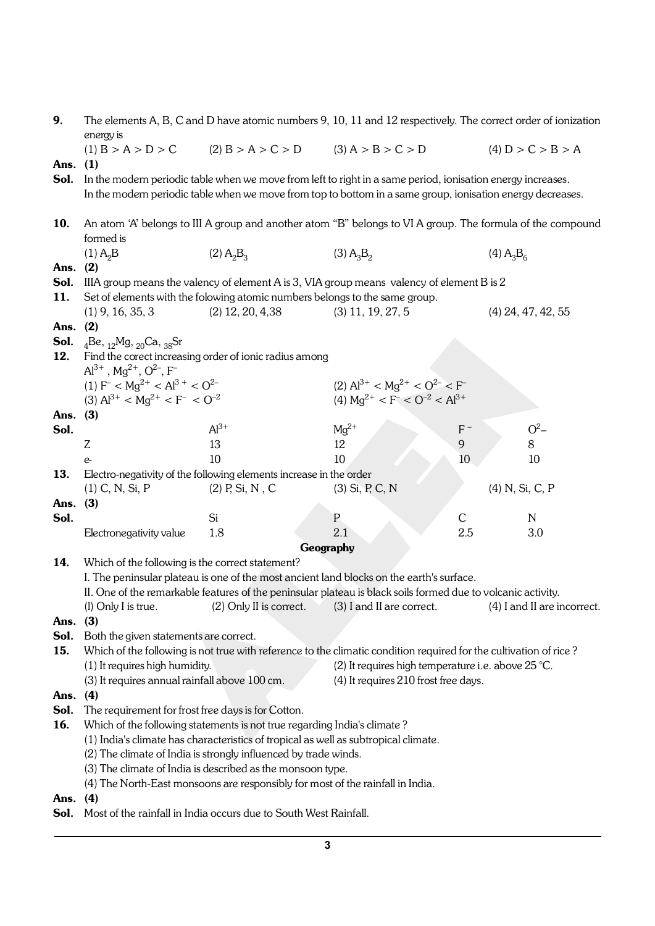| 9.       | The elements A, B, C and D have atomic numbers 9, 10, 11 and 12 respectively. The correct order of ionization<br>energy is |                                                                                     |                                                                                                                                                                                                          |                |                                     |  |  |  |
|----------|----------------------------------------------------------------------------------------------------------------------------|-------------------------------------------------------------------------------------|----------------------------------------------------------------------------------------------------------------------------------------------------------------------------------------------------------|----------------|-------------------------------------|--|--|--|
|          | (1) B > A > D > C                                                                                                          | $(2) B > A > C > D$ $(3) A > B > C > D$                                             |                                                                                                                                                                                                          |                | (4) D > C > B > A                   |  |  |  |
| Ans.     | (1)                                                                                                                        |                                                                                     |                                                                                                                                                                                                          |                |                                     |  |  |  |
| Sol.     |                                                                                                                            |                                                                                     | In the modern periodic table when we move from left to right in a same period, ionisation energy increases.                                                                                              |                |                                     |  |  |  |
|          | In the modern periodic table when we move from top to bottom in a same group, ionisation energy decreases.                 |                                                                                     |                                                                                                                                                                                                          |                |                                     |  |  |  |
| 10.      | An atom 'A' belongs to III A group and another atom "B" belongs to VI A group. The formula of the compound                 |                                                                                     |                                                                                                                                                                                                          |                |                                     |  |  |  |
|          | formed is                                                                                                                  |                                                                                     |                                                                                                                                                                                                          |                |                                     |  |  |  |
|          | $(1)$ A <sub>2</sub> B                                                                                                     | $(2)$ A <sub>2</sub> B <sub>3</sub>                                                 | $(3)$ A <sub>3</sub> B <sub>2</sub>                                                                                                                                                                      |                | $(4)$ A <sub>3</sub> B <sub>6</sub> |  |  |  |
| Ans.     | (2)                                                                                                                        |                                                                                     |                                                                                                                                                                                                          |                |                                     |  |  |  |
| Sol.     |                                                                                                                            |                                                                                     | IIIA group means the valency of element A is 3, VIA group means valency of element B is 2                                                                                                                |                |                                     |  |  |  |
| 11.      |                                                                                                                            | Set of elements with the folowing atomic numbers belongs to the same group.         |                                                                                                                                                                                                          |                |                                     |  |  |  |
|          | $(1)$ 9, 16, 35, 3                                                                                                         | $(2)$ 12, 20, 4,38                                                                  | $(3)$ 11, 19, 27, 5                                                                                                                                                                                      |                | $(4)$ 24, 47, 42, 55                |  |  |  |
| Ans.     | (2)                                                                                                                        |                                                                                     |                                                                                                                                                                                                          |                |                                     |  |  |  |
| 12.      | <b>Sol.</b> $_{4}$ Be, $_{12}$ Mg, $_{20}$ Ca, $_{38}$ Sr                                                                  |                                                                                     |                                                                                                                                                                                                          |                |                                     |  |  |  |
|          | $Al^{3+}$ , Mg <sup>2+</sup> , O <sup>2-</sup> , F <sup>-</sup>                                                            | Find the corect increasing order of ionic radius among                              |                                                                                                                                                                                                          |                |                                     |  |  |  |
|          | (1) $F^{-} < Mg^{2+} < Al^{3+} < O^{2-}$                                                                                   |                                                                                     | (2) $Al^{3+} < Mg^{2+} < O^{2-} < F^{-}$                                                                                                                                                                 |                |                                     |  |  |  |
|          | (3) $Al^{3+} < Ma^{2+} < F^{-} < O^{-2}$                                                                                   |                                                                                     | (4) $Mq^{2+} < F^{-} < O^{-2} < Al^{3+}$                                                                                                                                                                 |                |                                     |  |  |  |
| Ans. (3) |                                                                                                                            |                                                                                     |                                                                                                                                                                                                          |                |                                     |  |  |  |
| Sol.     |                                                                                                                            | $Al^{3+}$                                                                           | $Mg^{2+}$                                                                                                                                                                                                | $F^-$          | $O^2$                               |  |  |  |
|          | Z                                                                                                                          | 13                                                                                  | 12                                                                                                                                                                                                       | $\overline{9}$ | 8                                   |  |  |  |
|          | $e-$                                                                                                                       | 10                                                                                  | 10                                                                                                                                                                                                       | 10             | 10                                  |  |  |  |
| 13.      |                                                                                                                            | Electro-negativity of the following elements increase in the order                  |                                                                                                                                                                                                          |                |                                     |  |  |  |
|          | $(1)$ C, N, Si, P                                                                                                          | $(2)$ P, Si, N, C                                                                   | $(3)$ Si, P, C, N                                                                                                                                                                                        |                | (4) N, Si, C, P                     |  |  |  |
| Ans.     | (3)                                                                                                                        |                                                                                     |                                                                                                                                                                                                          |                |                                     |  |  |  |
| Sol.     |                                                                                                                            | Si                                                                                  | $\mathsf{P}$                                                                                                                                                                                             | C              | $\mathbb N$                         |  |  |  |
|          | Electronegativity value                                                                                                    | 1.8                                                                                 | 2.1                                                                                                                                                                                                      | 2.5            | 3.0                                 |  |  |  |
|          |                                                                                                                            |                                                                                     | Geography                                                                                                                                                                                                |                |                                     |  |  |  |
| 14.      | Which of the following is the correct statement?                                                                           |                                                                                     |                                                                                                                                                                                                          |                |                                     |  |  |  |
|          |                                                                                                                            |                                                                                     | I. The peninsular plateau is one of the most ancient land blocks on the earth's surface.<br>II. One of the remarkable features of the peninsular plateau is black soils formed due to volcanic activity. |                |                                     |  |  |  |
|          |                                                                                                                            |                                                                                     | (l) Only I is true. (2) Only II is correct. (3) I and II are correct. (4) I and II are incorrect.                                                                                                        |                |                                     |  |  |  |
| Ans.     | (3)                                                                                                                        |                                                                                     |                                                                                                                                                                                                          |                |                                     |  |  |  |
| Sol.     | Both the given statements are correct.                                                                                     |                                                                                     |                                                                                                                                                                                                          |                |                                     |  |  |  |
| 15.      |                                                                                                                            |                                                                                     | Which of the following is not true with reference to the climatic condition required for the cultivation of rice?                                                                                        |                |                                     |  |  |  |
|          | (1) It requires high humidity.                                                                                             |                                                                                     | (2) It requires high temperature i.e. above $25^{\circ}$ C.                                                                                                                                              |                |                                     |  |  |  |
|          | (3) It requires annual rainfall above 100 cm.                                                                              |                                                                                     | (4) It requires 210 frost free days.                                                                                                                                                                     |                |                                     |  |  |  |
| Ans.     | (4)                                                                                                                        |                                                                                     |                                                                                                                                                                                                          |                |                                     |  |  |  |
| Sol.     | The requirement for frost free days is for Cotton.                                                                         |                                                                                     |                                                                                                                                                                                                          |                |                                     |  |  |  |
| 16.      |                                                                                                                            | Which of the following statements is not true regarding India's climate?            |                                                                                                                                                                                                          |                |                                     |  |  |  |
|          |                                                                                                                            | (1) India's climate has characteristics of tropical as well as subtropical climate. |                                                                                                                                                                                                          |                |                                     |  |  |  |
|          |                                                                                                                            | (2) The climate of India is strongly influenced by trade winds.                     |                                                                                                                                                                                                          |                |                                     |  |  |  |
|          |                                                                                                                            | (3) The climate of India is described as the monsoon type.                          |                                                                                                                                                                                                          |                |                                     |  |  |  |
|          |                                                                                                                            | (4) The North-East monsoons are responsibly for most of the rainfall in India.      |                                                                                                                                                                                                          |                |                                     |  |  |  |
| Ans.     | (4)                                                                                                                        |                                                                                     |                                                                                                                                                                                                          |                |                                     |  |  |  |
| Sol.     |                                                                                                                            | Most of the rainfall in India occurs due to South West Rainfall.                    |                                                                                                                                                                                                          |                |                                     |  |  |  |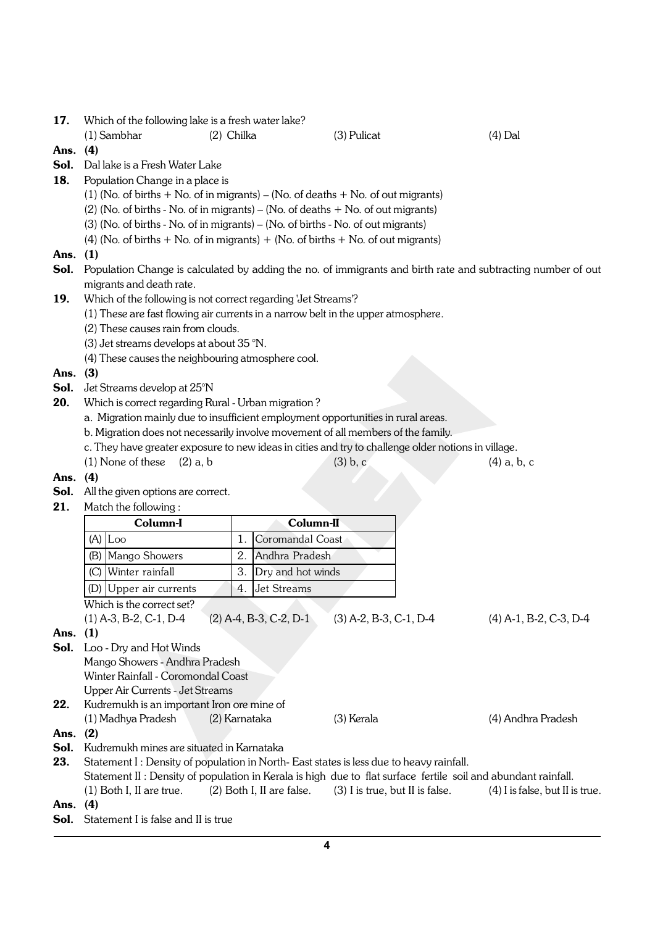17. Which of the following lake is a fresh water lake?

(1) Sambhar (2) Chilka (3) Pulicat (4) Dal

- Ans. (4)
- Sol. Dal lake is a Fresh Water Lake
- 18. Population Change in a place is
	- (1) (No. of births  $+$  No. of in migrants) (No. of deaths  $+$  No. of out migrants)
	- (2) (No. of births No. of in migrants) (No. of deaths + No. of out migrants)
	- (3) (No. of births No. of in migrants) (No. of births No. of out migrants)
	- (4) (No. of births  $+$  No. of in migrants)  $+$  (No. of births  $+$  No. of out migrants)
- Ans. (1)
- Sol. Population Change is calculated by adding the no. of immigrants and birth rate and subtracting number of out migrants and death rate.
- 19. Which of the following is not correct regarding 'Jet Streams'?
	- (1) These are fast flowing air currents in a narrow belt in the upper atmosphere.
	- (2) These causes rain from clouds.
	- (3) Jet streams develops at about 35 °N.
	- (4) These causes the neighbouring atmosphere cool.
- Ans. (3)
- Sol. Jet Streams develop at 25°N
- 20. Which is correct regarding Rural Urban migration?
	- a. Migration mainly due to insufficient employment opportunities in rural areas.
	- b. Migration does not necessarily involve movement of all members of the family.
	- c. They have greater exposure to new ideas in cities and try to challenge older notions in village.
	- (1) None of these (2) a, b (3) b, c (4) a, b, c
- Ans. (4)
- Sol. All the given options are correct.
- 21. Match the following:

|      |                                                                                                                | Column-I                                   |                | Column-II                                                                              |                                   |  |  |
|------|----------------------------------------------------------------------------------------------------------------|--------------------------------------------|----------------|----------------------------------------------------------------------------------------|-----------------------------------|--|--|
|      |                                                                                                                | $(A)$ $\vert$ Loo                          | 1.             | Coromandal Coast                                                                       |                                   |  |  |
|      | (B)                                                                                                            | Mango Showers                              | 2.             | Andhra Pradesh                                                                         |                                   |  |  |
|      | (C)                                                                                                            | Winter rainfall                            | 3.             | Dry and hot winds                                                                      |                                   |  |  |
|      |                                                                                                                | (D) Upper air currents                     | $\mathbf{4}$ . | <b>Jet Streams</b>                                                                     |                                   |  |  |
|      |                                                                                                                | Which is the correct set?                  |                |                                                                                        |                                   |  |  |
|      |                                                                                                                | $(1)$ A-3, B-2, C-1, D-4                   |                | $(2)$ A-4, B-3, C-2, D-1<br>$(3)$ A-2, B-3, C-1, D-4                                   | $(4)$ A-1, B-2, C-3, D-4          |  |  |
| Ans. | (1)                                                                                                            |                                            |                |                                                                                        |                                   |  |  |
| Sol. |                                                                                                                | Loo - Dry and Hot Winds                    |                |                                                                                        |                                   |  |  |
|      |                                                                                                                | Mango Showers - Andhra Pradesh             |                |                                                                                        |                                   |  |  |
|      | Winter Rainfall - Coromondal Coast                                                                             |                                            |                |                                                                                        |                                   |  |  |
|      |                                                                                                                | Upper Air Currents - Jet Streams           |                |                                                                                        |                                   |  |  |
| 22.  |                                                                                                                | Kudremukh is an important Iron ore mine of |                |                                                                                        |                                   |  |  |
|      |                                                                                                                | (1) Madhya Pradesh<br>(2) Karnataka        |                | (3) Kerala                                                                             | (4) Andhra Pradesh                |  |  |
| Ans. | (2)                                                                                                            |                                            |                |                                                                                        |                                   |  |  |
| Sol. |                                                                                                                | Kudremukh mines are situated in Karnataka  |                |                                                                                        |                                   |  |  |
| 23.  |                                                                                                                |                                            |                | Statement I: Density of population in North-East states is less due to heavy rainfall. |                                   |  |  |
|      | Statement II : Density of population in Kerala is high due to flat surface fertile soil and abundant rainfall. |                                            |                |                                                                                        |                                   |  |  |
|      |                                                                                                                | $(1)$ Both I, II are true.                 |                | $(2)$ Both I, II are false. $(3)$ I is true, but II is false.                          | $(4)$ I is false, but II is true. |  |  |
| Ans. | (4)                                                                                                            |                                            |                |                                                                                        |                                   |  |  |
| Sol. |                                                                                                                | Statement I is false and II is true        |                |                                                                                        |                                   |  |  |
|      |                                                                                                                |                                            |                |                                                                                        |                                   |  |  |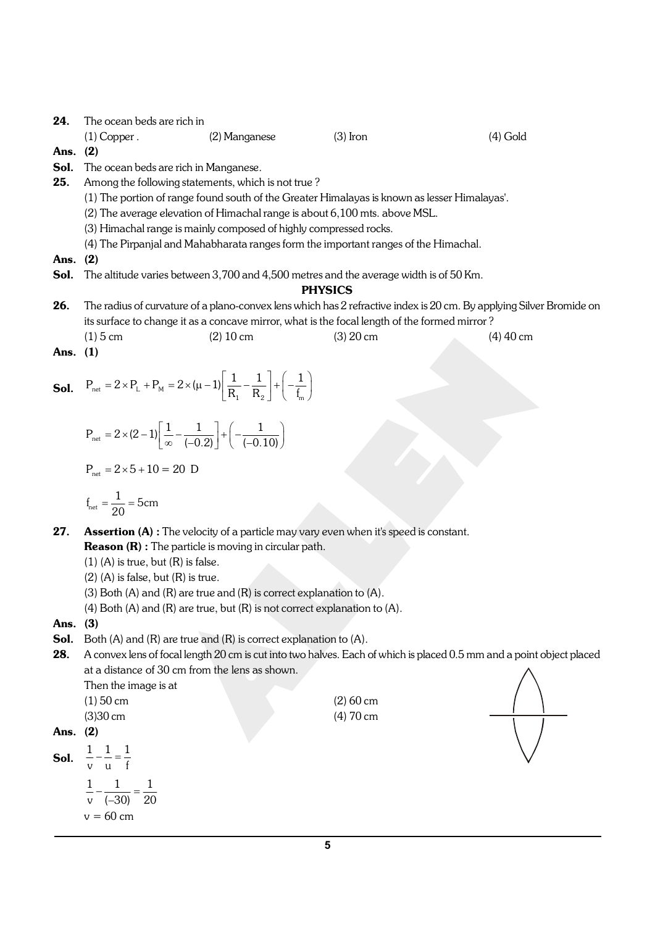24. The ocean beds are rich in

(1) Copper . (2) Manganese (3) Iron (4) Gold

Ans. (2)

- Sol. The ocean beds are rich in Manganese.
- 25. Among the following statements, which is not true?
	- (1) The portion of range found south of the Greater Himalayas is known as lesser Himalayas'.
	- (2) The average elevation of Himachal range is about 6,100 mts. above MSL.
	- (3) Himachal range is mainly composed of highly compressed rocks.
	- (4) The Pirpanjal and Mahabharata ranges form the important ranges of the Himachal.

Ans. (2)

Sol. The altitude varies between 3,700 and 4,500 metres and the average width is of 50 Km.

#### PHYSICS

- 26. The radius of curvature of a plano-convex lens which has 2 refractive index is 20 cm. By applying Silver Bromide on its surface to change it as a concave mirror, what is the focal length of the formed mirror ?
- (1) 5 cm (2) 10 cm (3) 20 cm (3) 20 cm (4) 40 cm Ans. (1)
- Sol.  $P_{\text{net}} = 2 \times P_{\text{L}} + P_{\text{M}} = 2 \times (\mu - 1) \left[ \frac{1}{R_1} - \frac{1}{R_2} \right] + \left( -\frac{1}{f_{\text{m}}} \right).$  $P_{\text{net}} = 2 \times P_{\text{L}} + P_{\text{M}} = 2 \times (\mu - 1) \left| \frac{1}{R_1} - \frac{1}{R_2} \right| + \left( -\frac{1}{f_{\text{m}}} \right)$

$$
P_{\text{net}} = 2 \times (2 - 1) \left[ \frac{1}{\infty} - \frac{1}{(-0.2)} \right] + \left( -\frac{1}{(-0.10)} \right)
$$

$$
P_{\text{net}} = 2 \times 5 + 10 = 20 \text{ D}
$$

$$
f_{\text{net}} = \frac{1}{20} = 5 \text{cm}
$$

- 27. Assertion (A) : The velocity of a particle may vary even when it's speed is constant. Reason (R) : The particle is moving in circular path.
	- $(1)$   $(A)$  is true, but  $(R)$  is false.
	- $(2)$  (A) is false, but  $(R)$  is true.
	- (3) Both (A) and (R) are true and (R) is correct explanation to (A).
	- (4) Both (A) and (R) are true, but  $(R)$  is not correct explanation to (A).

#### Ans. (3)

- Sol. Both (A) and (R) are true and (R) is correct explanation to (A).
- 28. A convex lens of focal length 20 cm is cut into two halves. Each of which is placed 0.5 mm and a point object placed at a distance of 30 cm from the lens as shown.

Then the image is at (1) 50 cm (2) 60 cm

| $(1)$ over           | $(2)$ OU CIII |
|----------------------|---------------|
| $(3)30 \, \text{cm}$ | $(4)$ 70 cm   |

Ans. (2)

**Sol.**  $\frac{1}{n} - \frac{1}{n} = \frac{1}{n}$ vu f 11 1

$$
\frac{1}{v} - \frac{1}{(-30)} = \frac{1}{20}
$$
  
v = 60 cm

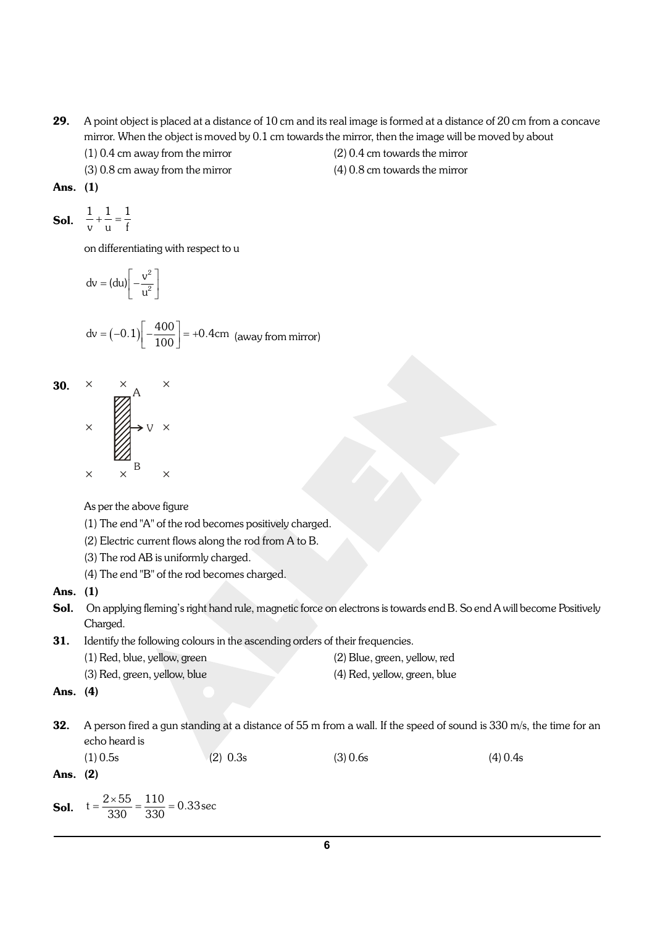- 29. A point object is placed at a distance of 10 cm and its real image is formed at a distance of 20 cm from a concave mirror. When the object is moved by 0.1 cm towards the mirror, then the image will be moved by about
	-
	- (3) 0.8 cm away from the mirror (4) 0.8 cm towards the mirror
	- (1) 0.4 cm away from the mirror (2) 0.4 cm towards the mirror
		-

Ans. (1)

**Sol.** 
$$
\frac{1}{v} + \frac{1}{u} = \frac{1}{f}
$$

on differentiating with respect to u

$$
dv = (du) \left[ -\frac{v^2}{u^2} \right]
$$

$$
dv = (-0.1)\left[-\frac{400}{100}\right] = +0.4 \text{cm (away from mirror)}
$$



As per the above figure

- (1) The end "A" of the rod becomes positively charged.
- (2) Electric current flows along the rod from A to B.
- (3) The rod AB is uniformly charged.
- (4) The end "B" of the rod becomes charged.
- Ans. (1)
- Sol. On applying fleming's right hand rule, magnetic force on electrons is towards end B. So end A will become Positively Charged.
- 31. Identify the following colours in the ascending orders of their frequencies. (1) Red, blue, yellow, green (2) Blue, green, yellow, red (3) Red, green, yellow, blue (4) Red, yellow, green, blue
- Ans. (4)
- **32.** A person fired a gun standing at a distance of 55 m from a wall. If the speed of sound is  $330$  m/s, the time for an echo heard is

(1) 0.5s (2) 0.3s (3) 0.6s (4) 0.4s  
\n**Ans. (2)**  
\n**Sol.** 
$$
t = \frac{2 \times 55}{330} = \frac{110}{330} = 0.33 \text{ sec}
$$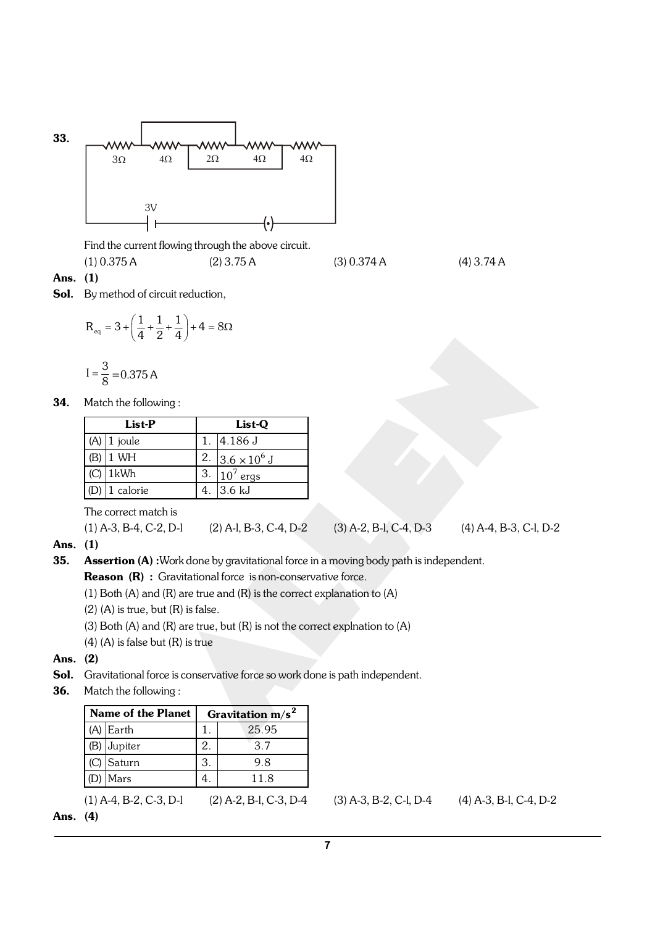

Find the current flowing through the above circuit.

 $(1) 0.375 A$   $(2) 3.75 A$   $(3) 0.374 A$   $(4) 3.74 A$ 

- Ans. (1)
- Sol. By method of circuit reduction,

$$
R_{\text{eq}} = 3 + \left(\frac{1}{4} + \frac{1}{2} + \frac{1}{4}\right) + 4 = 8\Omega
$$

$$
I = \frac{3}{8} = 0.375 A
$$

34. Match the following :

| List-P                | List-Q |                        |  |
|-----------------------|--------|------------------------|--|
| $(A)$ 1 joule         |        | 4.186 J                |  |
| $1$ WH                |        | 2. $3.6 \times 10^6$ J |  |
| $(C)$ 1kWh            | 13.7   | $10^7$ ergs            |  |
| (D) $\vert$ 1 calorie | 4.     | 3.6 kJ                 |  |

The correct match is

$$
(1) A-3, B-4, C-2, D-1 \qquad (2) A-1, B-3, C-4, D-2 \qquad (3) A-2, B-1, C-4, D-3 \qquad (4) A-4, B-3, C-1, D-2
$$

- Ans. (1)
- 35. Assertion (A) : Work done by gravitational force in a moving body path is independent.

Reason (R) : Gravitational force is non-conservative force.

- (1) Both (A) and (R) are true and (R) is the correct explanation to (A)
- $(2)$  (A) is true, but  $(R)$  is false.
- (3) Both (A) and (R) are true, but (R) is not the correct explnation to (A)
- (4) (A) is false but (R) is true
- Ans. (2)
- Sol. Gravitational force is conservative force so work done is path independent.
- 36. Match the following :

| Name of the Planet |             | Gravitation $m/s^2$ |       |  |
|--------------------|-------------|---------------------|-------|--|
|                    | $(A)$ Earth |                     | 25.95 |  |
|                    | (B) Jupiter | 2.                  | 3.7   |  |
|                    | Saturn      | 3                   | 9.8   |  |
|                    | Mars        |                     | 11.8  |  |

(1) A-4, B-2, C-3, D-l (2) A-2, B-l, C-3, D-4 (3) A-3, B-2, C-l, D-4 (4) A-3, B-l, C-4, D-2

Ans. (4)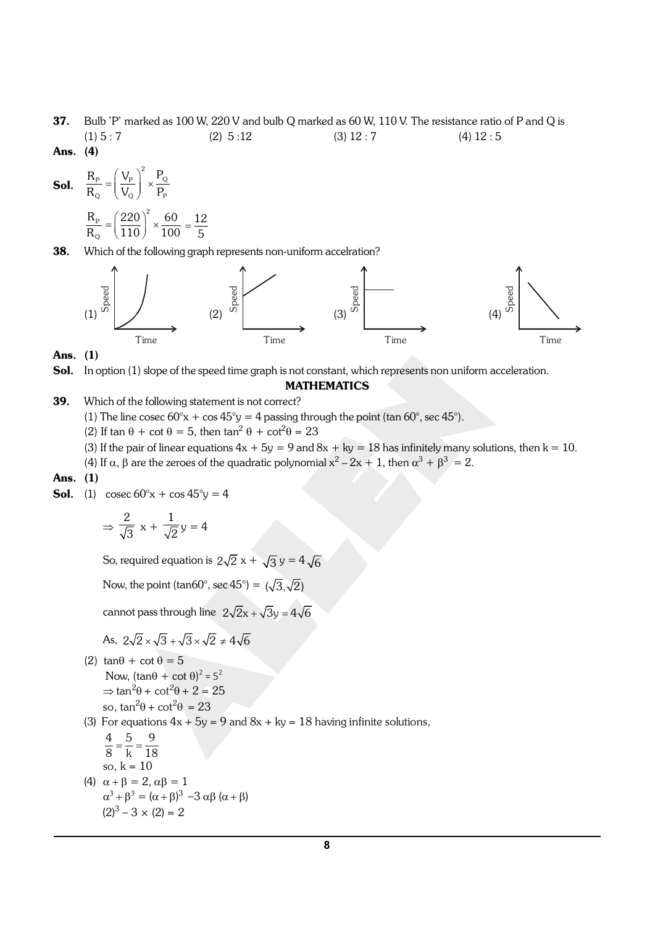- 37. Bulb 'P' marked as 100 W, 220 V and bulb Q marked as 60 W, 110 V. The resistance ratio of P and Q is (1)  $5:7$  (2)  $5:12$  (3)  $12:7$  (4)  $12:5$
- Ans. (4)

**Sol.** 
$$
\frac{R_{P}}{R_{Q}} = \left(\frac{V_{P}}{V_{Q}}\right)^{2} \times \frac{P_{Q}}{P_{P}}
$$
  
**R** 
$$
(220)^{2} = 60
$$

$$
\frac{R_{P}}{R_{Q}} = \left(\frac{220}{110}\right)^{2} \times \frac{60}{100} = \frac{12}{5}
$$

38. Which of the following graph represents non-uniform accelration?



#### Ans. (1)

Sol. In option (1) slope of the speed time graph is not constant, which represents non uniform acceleration.

#### MATHEMATICS

- **39.** Which of the following statement is not correct?
	- (1) The line cosec  $60^{\circ}x + \cos 45^{\circ}y = 4$  passing through the point (tan  $60^{\circ}$ , sec  $45^{\circ}$ ).
	- (2) If tan  $\theta$  + cot  $\theta$  = 5, then tan<sup>2</sup>  $\theta$  + cot<sup>2</sup> $\theta$  = 23
	- (3) If the pair of linear equations  $4x + 5y = 9$  and  $8x + ky = 18$  has infinitely many solutions, then  $k = 10$ .
	- (4) If  $\alpha$ ,  $\beta$  are the zeroes of the quadratic polynomial  $x^2 2x + 1$ , then  $\alpha^3 + \beta^3 = 2$ .

#### Ans. (1)

**Sol.** (1) cosec  $60^{\circ}x + \cos 45^{\circ}y = 4$ 

$$
\Rightarrow \frac{2}{\sqrt{3}} x + \frac{1}{\sqrt{2}} y = 4
$$

So, required equation is  $2\sqrt{2}x + \sqrt{3}y = 4\sqrt{6}$ 

Now, the point (tan60°, sec 45°) =  $(\sqrt{3}, \sqrt{2})$ 

cannot pass through line  $2\sqrt{2}x + \sqrt{3}y = 4\sqrt{6}$ 

As, 
$$
2\sqrt{2} \times \sqrt{3} + \sqrt{3} \times \sqrt{2} \neq 4\sqrt{6}
$$

- (2)  $\tan\theta + \cot\theta = 5$ Now,  $(\tan\theta + \cot\theta)^2 = 5^2$  $\Rightarrow$  tan<sup>2</sup> $\theta$  + cot<sup>2</sup> $\theta$  + 2 = 25 so, tan<sup>2</sup> $\theta$  + cot<sup>2</sup> $\theta$  = 23
- (3) For equations  $4x + 5y = 9$  and  $8x + ky = 18$  having infinite solutions,

$$
\frac{4}{8} = \frac{5}{k} = \frac{9}{18}
$$
  
so, k = 10

(4)  $\alpha + \beta = 2$ ,  $\alpha\beta = 1$  $\alpha^3 + \beta^3 = (\alpha + \beta)^3 - 3 \alpha \beta (\alpha + \beta)$  $(2)^3 - 3 \times (2) = 2$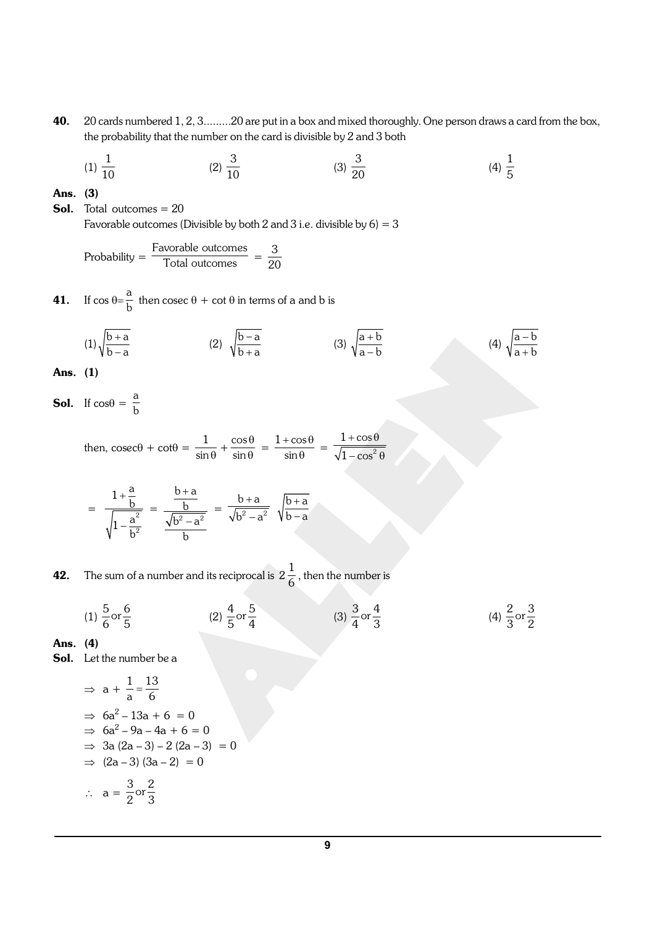40. 20 cards numbered 1, 2, 3.........20 are put in a box and mixed thoroughly. One person draws a card from the box, the probability that the number on the card is divisible by 2 and 3 both

(1) 
$$
\frac{1}{10}
$$
 (2)  $\frac{3}{10}$  (3)  $\frac{3}{20}$  (4)  $\frac{1}{5}$ 

Ans. (3)

**Sol.** Total outcomes  $= 20$ Favorable outcomes (Divisible by both 2 and 3 i.e. divisible by  $6 = 3$ 

Probability = Favorable outcomes  $\frac{\text{vorable outcomes}}{\text{Total outcomes}} = \frac{3}{20}$ 20

**41.** If  $\cos \theta = \frac{a}{1}$  $\frac{a}{b}$  then cosec  $\theta$  + cot  $\theta$  in terms of a and b is

(1) 
$$
\sqrt{\frac{b+a}{b-a}}
$$
 (2)  $\sqrt{\frac{b-a}{b+a}}$  (3)  $\sqrt{\frac{a+b}{a-b}}$  (4)  $\sqrt{\frac{a-b}{a+b}}$ 

Ans. (1)

**Sol.** If  $\cos\theta = \frac{a}{1}$ b

> then,  $\csc\theta + \cot\theta = \frac{1}{\sin\theta}$  $rac{1}{\sin \theta} + \frac{\cos \theta}{\sin \theta}$  $\theta$ cos  $rac{\cos \theta}{\sin \theta} = \frac{1 + \cos \theta}{\sin \theta}$  $\theta$  $1 + \cos$  $\frac{1}{\sin \theta}$  =  $+\cos\theta$  $-\cos^2\theta$  $1 + \cos$  $1 - \cos$

$$
= \ \frac{1+\frac{a}{b}}{\sqrt{1-\frac{a^2}{b^2}}} \ = \ \frac{\frac{b+a}{b}}{\frac{\sqrt{b^2-a^2}}{b}} \ = \ \frac{b+a}{\sqrt{b^2-a^2}} \ \ \sqrt{\frac{b+a}{b-a}}
$$

**42.** The sum of a number and its reciprocal is  $2\frac{1}{6}$  , then the number is

 $= 0$ 

(1) 
$$
\frac{5}{6}
$$
 or  $\frac{6}{5}$  (2)  $\frac{4}{5}$  or  $\frac{5}{4}$  (3)  $\frac{3}{4}$  or  $\frac{4}{3}$  (4)  $\frac{2}{3}$  or  $\frac{3}{2}$ 

Ans. (4)

Sol. Let the number be a

$$
\Rightarrow a + \frac{1}{a} = \frac{13}{6}
$$
  
\n
$$
\Rightarrow 6a^2 - 13a + 6 = 0
$$
  
\n
$$
\Rightarrow 6a^2 - 9a - 4a + 6 = 0
$$
  
\n
$$
\Rightarrow 3a (2a - 3) - 2 (2a - 3)
$$
  
\n
$$
\Rightarrow (2a - 3) (3a - 2) = 0
$$
  
\n
$$
\therefore a = \frac{3}{2} \text{ or } \frac{2}{3}
$$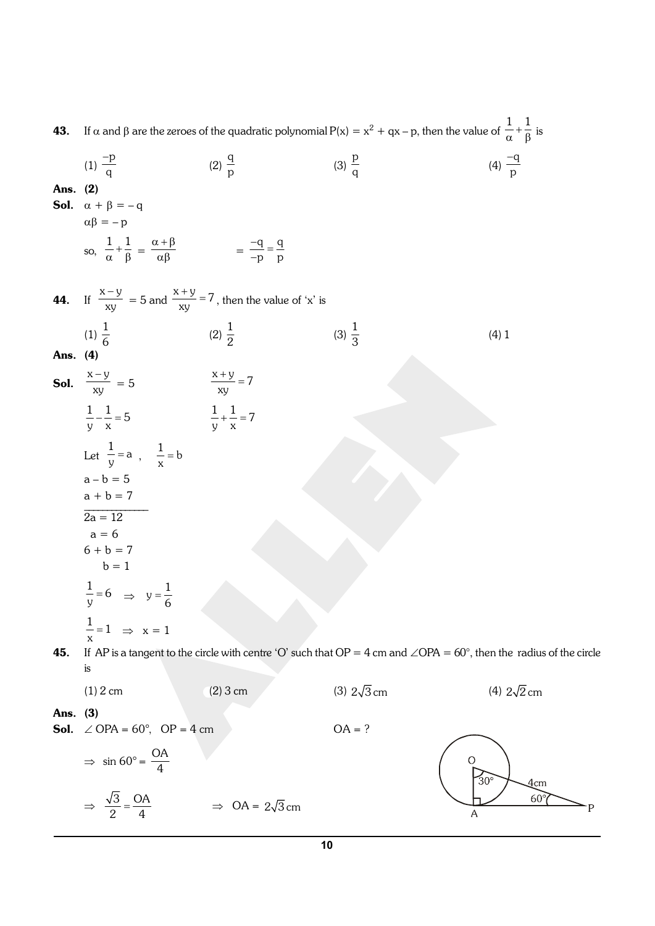| 43.      |                                                                                                              | If $\alpha$ and $\beta$ are the zeroes of the quadratic polynomial $P(x) = x^2 + qx - p$ , then the value of $\frac{1}{\alpha} + \frac{1}{\beta}$ is |                    |                                                                                                                                    |
|----------|--------------------------------------------------------------------------------------------------------------|------------------------------------------------------------------------------------------------------------------------------------------------------|--------------------|------------------------------------------------------------------------------------------------------------------------------------|
| Ans. (2) | (1) $\frac{-p}{q}$<br><b>Sol.</b> $\alpha + \beta = -q$                                                      | (2) $\frac{q}{p}$                                                                                                                                    | (3) $\frac{p}{q}$  | (4) $\frac{-q}{p}$                                                                                                                 |
|          | $\alpha\beta = -p$                                                                                           |                                                                                                                                                      |                    |                                                                                                                                    |
|          | so, $\frac{1}{\alpha} + \frac{1}{\beta} = \frac{\alpha + \beta}{\alpha \beta} = \frac{-q}{-p} = \frac{q}{p}$ |                                                                                                                                                      |                    |                                                                                                                                    |
|          |                                                                                                              | <b>44.</b> If $\frac{x-y}{xy} = 5$ and $\frac{x+y}{xy} = 7$ , then the value of 'x' is                                                               |                    |                                                                                                                                    |
|          | $(1) \frac{1}{6}$                                                                                            | $(2) \frac{1}{2}$                                                                                                                                    | $(3) \frac{1}{3}$  | (4) 1                                                                                                                              |
| Ans. (4) |                                                                                                              |                                                                                                                                                      |                    |                                                                                                                                    |
|          | <b>Sol.</b> $\frac{x-y}{xy} = 5$                                                                             | $\frac{x+y}{xy} = 7$                                                                                                                                 |                    |                                                                                                                                    |
|          | $\frac{1}{v} + \frac{1}{x} = 7$<br>$\frac{1}{y} - \frac{1}{x} = 5$                                           |                                                                                                                                                      |                    |                                                                                                                                    |
|          | Let $\frac{1}{y} = a$ , $\frac{1}{x} = b$                                                                    |                                                                                                                                                      |                    |                                                                                                                                    |
|          | $a - b = 5$<br>$a + b = 7$                                                                                   |                                                                                                                                                      |                    |                                                                                                                                    |
|          | $2a = 12$                                                                                                    |                                                                                                                                                      |                    |                                                                                                                                    |
|          | $a = 6$                                                                                                      |                                                                                                                                                      |                    |                                                                                                                                    |
|          | $6 + b = 7$<br>$b = 1$                                                                                       |                                                                                                                                                      |                    |                                                                                                                                    |
|          | $\frac{1}{-} = 6$ $\Rightarrow$ $y = \frac{1}{6}$                                                            |                                                                                                                                                      |                    |                                                                                                                                    |
|          | $\frac{1}{x}$ =1 $\Rightarrow$ x = 1                                                                         |                                                                                                                                                      |                    |                                                                                                                                    |
| 45.      | İS.                                                                                                          |                                                                                                                                                      |                    | If AP is a tangent to the circle with centre 'O' such that $OP = 4$ cm and $\angle OPA = 60^\circ$ , then the radius of the circle |
|          | $(1)$ 2 cm                                                                                                   | $(2)$ 3 cm                                                                                                                                           | (3) $2\sqrt{3}$ cm | (4) $2\sqrt{2}$ cm                                                                                                                 |
| Ans. (3) | <b>Sol.</b> $\angle$ OPA = 60°, OP = 4 cm                                                                    |                                                                                                                                                      | $OA = ?$           |                                                                                                                                    |
|          | $\Rightarrow$ sin 60° = $\frac{OA}{4}$                                                                       |                                                                                                                                                      |                    | $30^{\circ}$<br>Дcm                                                                                                                |
|          | $\Rightarrow \frac{\sqrt{3}}{2} = \frac{OA}{4}$                                                              | $\Rightarrow$ OA = $2\sqrt{3}$ cm                                                                                                                    |                    | $60^\circ$<br>Α                                                                                                                    |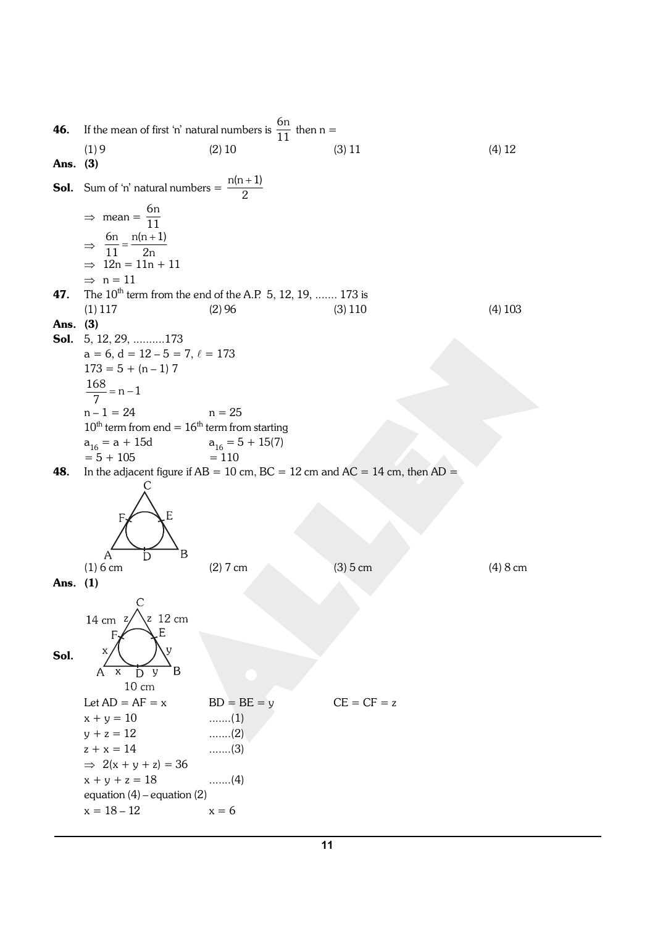**46.** If the mean of first 'n' natural numbers is  $\frac{6n}{11}$  then n = (1) 9 (2) 10 (3) 11 (4) 12 Ans. (3) **Sol.** Sum of 'n' natural numbers  $=$   $\frac{n(n+1)}{2}$  $\Rightarrow$  mean =  $\frac{6n}{11}$ 11  $\Rightarrow \frac{6n}{11} = \frac{n(n+1)}{2}$ 11 2n  $\Rightarrow$  12n = 11n + 11  $\Rightarrow$  n = 11 **47.** The  $10^{th}$  term from the end of the A.P. 5, 12, 19, ....... 173 is  $(1)$  117  $(2)$  96  $(3)$  110  $(4)$  103 Ans. (3) Sol. 5, 12, 29, ..........173  $a = 6, d = 12 - 5 = 7, \ell = 173$  $173 = 5 + (n - 1)$  7  $\frac{168}{7}$  = n - 1  $n - 1 = 24$   $n = 25$  $10^{th}$  term from end =  $16^{th}$  term from starting  $a_{16} = a + 15d$ <br>= 5 + 105  $a_{16} = 5 + 15(7)$ <br>= 110 **48.** In the adjacent figure if  $AB = 10$  cm,  $BC = 12$  cm and  $AC = 14$  cm, then  $AD =$ (1) 6 cm (2) 7 cm (3) 5 cm (3) 6 cm (4) 8 cm Ans. (1) z 12 cm  $14 \text{ cm}$ F. Sol. B A  $\overline{\mathbf{x}}$  $\overline{y}$ D  $10 \text{ cm}$ Let  $AD = AF = x$   $BD = BE = y$   $CE = CF = z$  $x + y = 10$  ........(1)  $y + z = 12$  .......(2)  $z + x = 14$  .......(3)  $\Rightarrow$  2(x + y + z) = 36  $x + y + z = 18$  .......(4) equation (4) – equation (2)  $x = 18 - 12$   $x = 6$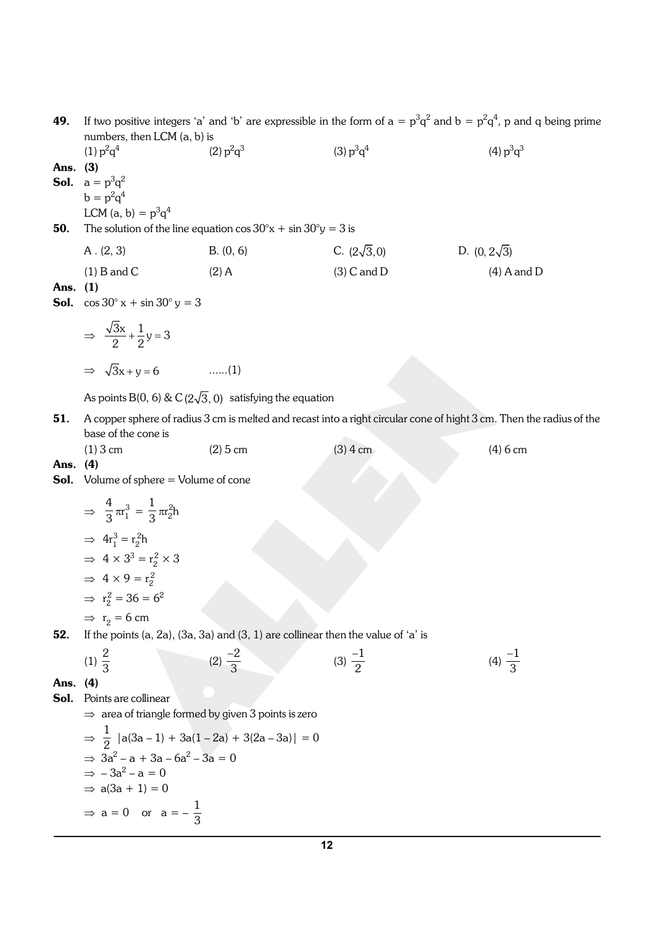- **49.** If two positive integers 'a' and 'b' are expressible in the form of  $a = p^3q^2$  and  $b = p^2q^4$ , p and q being prime numbers, then LCM (a, b) is  $(1)$   $p^2q^4$  $(2)$   $p^2q^3$  $(3) p<sup>3</sup>q<sup>4</sup>$  $(4) p<sup>3</sup>q<sup>3</sup>$
- Ans. (3) **Sol.**  $a = p^3q^2$  $b = p^2 q^4$ LCM (a, b) =  $p^3q^4$ **50.** The solution of the line equation  $\cos 30^\circ x + \sin 30^\circ y = 3$  is A . (2, 3) B. (0, 6) C. ( $2\sqrt{3}$ ,0) D. (0,  $2\sqrt{3}$ )
	- (1) B and C (2) A (3) C and D (4) A and D

### Ans. (1)

**Sol.**  $\cos 30^\circ x + \sin 30^\circ y = 3$ 

$$
\Rightarrow \frac{\sqrt{3}x}{2} + \frac{1}{2}y = 3
$$

$$
\Rightarrow \sqrt{3}x + y = 6 \qquad \qquad \dots \dots (1)
$$

As points B(0, 6) & C( $2\sqrt{3}$ , 0) satisfying the equation

51. A copper sphere of radius 3 cm is melted and recast into a right circular cone of hight 3 cm. Then the radius of the base of the cone is

| $(1)$ 3 cm | $(2)$ 5 cm | $(3)$ 4 cm | $(4)$ 6 cm |
|------------|------------|------------|------------|
|            |            |            |            |

#### Ans. (4)

Sol. Volume of sphere = Volume of cone

$$
\Rightarrow \frac{4}{3}\pi r_1^3 = \frac{1}{3}\pi r_2^2 h
$$

$$
\Rightarrow 4r_1^3 = r_2^2 h
$$

$$
\Rightarrow 4 \times 3^3 = r_2^2 \times 3
$$

$$
\Rightarrow 4 \times 9 = r_2^2
$$

$$
\Rightarrow r_2^2 = 36 = 6^2
$$

$$
\Rightarrow r_2 = 6 \text{ cm}
$$

**52.** If the points  $(a, 2a)$ ,  $(3a, 3a)$  and  $(3, 1)$  are collinear then the value of 'a' is

(1) 
$$
\frac{2}{3}
$$
 (2)  $\frac{-2}{3}$  (3)  $\frac{-1}{2}$  (4)  $\frac{-1}{3}$ 

Ans. (4)

- Sol. Points are collinear
	- $\Rightarrow$  area of triangle formed by given 3 points is zero

$$
\Rightarrow \frac{1}{2} |a(3a - 1) + 3a(1 - 2a) + 3(2a - 3a)| = 0
$$
  
\n
$$
\Rightarrow 3a^2 - a + 3a - 6a^2 - 3a = 0
$$
  
\n
$$
\Rightarrow -3a^2 - a = 0
$$
  
\n
$$
\Rightarrow a(3a + 1) = 0
$$
  
\n
$$
\Rightarrow a = 0 \text{ or } a = -\frac{1}{3}
$$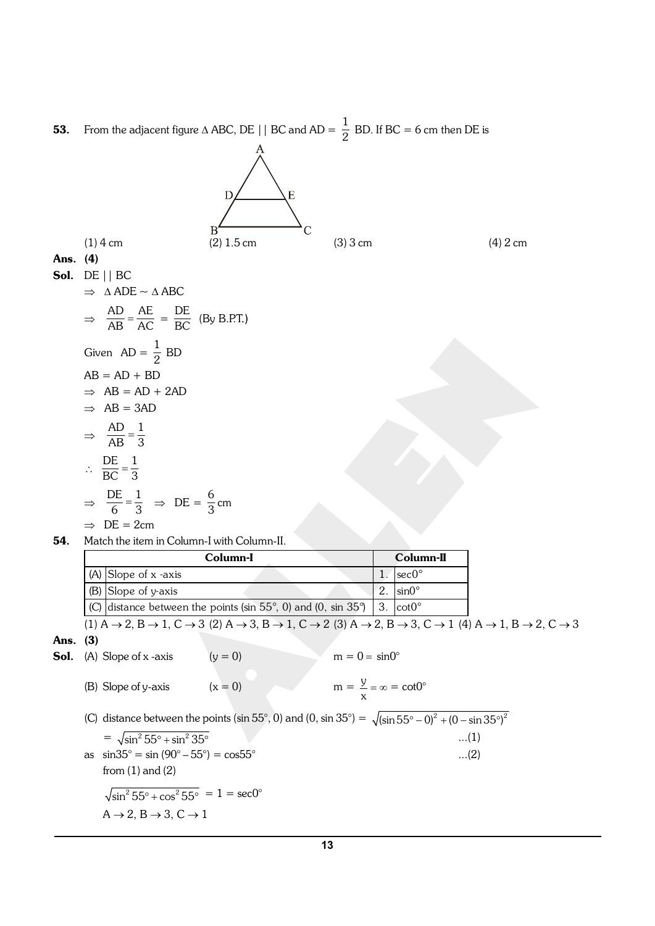**53.** From the adjacent figure  $\triangle$  ABC, DE || BC and AD =  $\frac{1}{2}$  BD. If BC = 6 cm then DE is

D

 $\overline{B}$ 

 $\overline{E}$ 

(1) 4 cm (2) 1.5 cm (3) 3 cm (4) 2 cm Ans. (4)

**Sol.** DE || BC  

$$
\Rightarrow \triangle ADE \sim \triangle ABC
$$

$$
\Rightarrow \frac{AD}{AB} = \frac{AE}{AC} = \frac{DE}{BC}
$$
 (By B.P.T.)  
Given AD =  $\frac{1}{2}$  BD  
AB = AD + BD  

$$
\Rightarrow AB = AD + 2AD
$$
  

$$
\Rightarrow AB = 3AD
$$
  

$$
\Rightarrow \frac{AD}{AB} = \frac{1}{3}
$$

$$
\therefore \frac{\text{DE}}{\text{BC}} = \frac{1}{3}
$$
  
\n
$$
\Rightarrow \frac{\text{DE}}{6} = \frac{1}{3} \Rightarrow \text{DE} = \frac{6}{3} \text{cm}
$$

$$
\Rightarrow \ \mathrm{DE} = 2 \mathrm{cm}
$$

54. Match the item in Column-I with Column-II.

|            |     |                                                                                                                    | Column-I  |                                             |    | Column-II      |                                                                                                                                                                                                                                                   |
|------------|-----|--------------------------------------------------------------------------------------------------------------------|-----------|---------------------------------------------|----|----------------|---------------------------------------------------------------------------------------------------------------------------------------------------------------------------------------------------------------------------------------------------|
|            |     | $(A)$ Slope of x -axis                                                                                             |           |                                             | 1. | $sec0^{\circ}$ |                                                                                                                                                                                                                                                   |
|            | (B) | Slope of y-axis                                                                                                    |           |                                             | 2. | $sin0^\circ$   |                                                                                                                                                                                                                                                   |
|            | (C) | distance between the points (sin $55^{\circ}$ , 0) and (0, sin $35^{\circ}$ )                                      |           |                                             | 3. | $cot0^{\circ}$ |                                                                                                                                                                                                                                                   |
|            |     |                                                                                                                    |           |                                             |    |                | $(1)$ A $\rightarrow$ 2, B $\rightarrow$ 1, C $\rightarrow$ 3 (2) A $\rightarrow$ 3, B $\rightarrow$ 1, C $\rightarrow$ 2 (3) A $\rightarrow$ 2, B $\rightarrow$ 3, C $\rightarrow$ 1 (4) A $\rightarrow$ 1, B $\rightarrow$ 2, C $\rightarrow$ 3 |
| Ans. $(3)$ |     |                                                                                                                    |           |                                             |    |                |                                                                                                                                                                                                                                                   |
| Sol.       |     | $(A)$ Slope of x -axis                                                                                             | $(y = 0)$ | $m = 0 = \sin 0^\circ$                      |    |                |                                                                                                                                                                                                                                                   |
|            |     | (B) Slope of y-axis                                                                                                | $(x = 0)$ | $m = \frac{y}{2} = \infty = \cot 0^{\circ}$ |    |                |                                                                                                                                                                                                                                                   |
|            | (C) | distance between the points (sin 55°, 0) and (0, sin 35°) = $\sqrt{(\sin 55^\circ - 0)^2 + (0 - \sin 35^\circ)^2}$ |           |                                             |    |                |                                                                                                                                                                                                                                                   |
|            |     | $=\sqrt{\sin^2 55^\circ + \sin^2 35^\circ}$                                                                        |           |                                             |    |                | (1)                                                                                                                                                                                                                                               |
|            |     | as $\sin 35^\circ = \sin (90^\circ - 55^\circ) = \cos 55^\circ$                                                    |           |                                             |    |                | $(2)$                                                                                                                                                                                                                                             |
|            |     | from $(1)$ and $(2)$                                                                                               |           |                                             |    |                |                                                                                                                                                                                                                                                   |
|            |     | $\sqrt{\sin^2 55^\circ + \cos^2 55^\circ} = 1 = \sec 0^\circ$                                                      |           |                                             |    |                |                                                                                                                                                                                                                                                   |
|            |     | $A \rightarrow 2$ , $B \rightarrow 3$ , $C \rightarrow 1$                                                          |           |                                             |    |                |                                                                                                                                                                                                                                                   |
|            |     |                                                                                                                    |           |                                             |    |                |                                                                                                                                                                                                                                                   |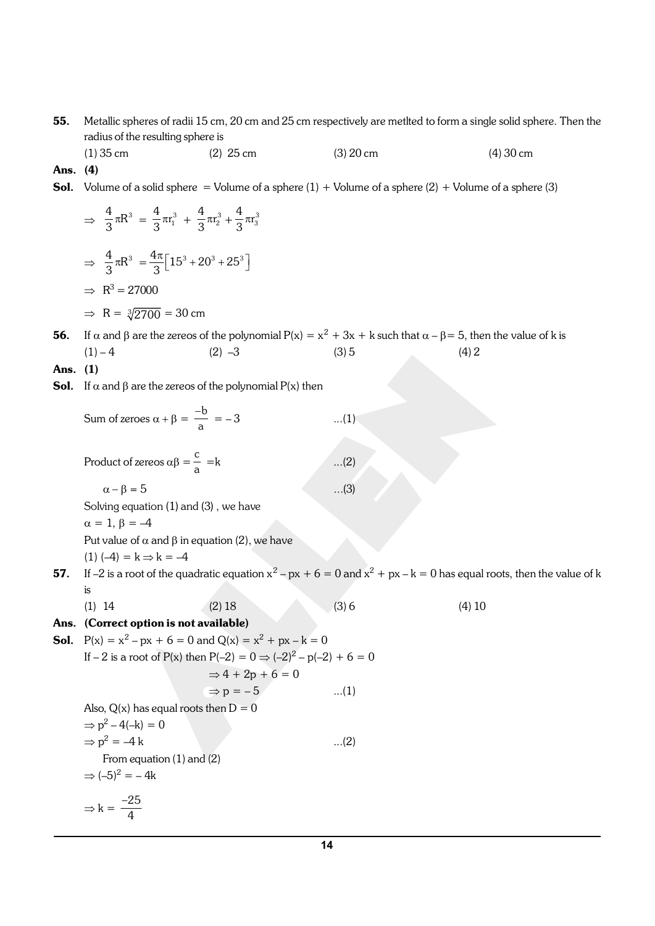55. Metallic spheres of radii 15 cm, 20 cm and 25 cm respectively are metlted to form a single solid sphere. Then the radius of the resulting sphere is

(1) 35 cm (2) 25 cm (3) 20 cm (4) 30 cm Ans. (4)

**Sol.** Volume of a solid sphere = Volume of a sphere  $(1) +$  Volume of a sphere  $(2) +$  Volume of a sphere  $(3)$ 

$$
\Rightarrow \frac{4}{3}\pi R^3 = \frac{4}{3}\pi r_1^3 + \frac{4}{3}\pi r_2^3 + \frac{4}{3}\pi r_3^3
$$

$$
\Rightarrow \frac{4}{3}\pi R^3 = \frac{4\pi}{3} [15^3 + 20^3 + 25^3]
$$

$$
\Rightarrow R^3 = 27000
$$

$$
\Rightarrow R = \sqrt[3]{2700} = 30 \text{ cm}
$$

**56.** If  $\alpha$  and  $\beta$  are the zereos of the polynomial  $P(x) = x^2 + 3x + k$  such that  $\alpha - \beta = 5$ , then the value of k is  $(1) - 4$   $(2) -3$   $(3) 5$   $(4) 2$ 

- Ans. (1)
- **Sol.** If  $\alpha$  and  $\beta$  are the zereos of the polynomial  $P(x)$  then

Sum of zeroes  $\alpha + \beta = \frac{-b}{\alpha}$  $\frac{0}{a} = -3$  ...(1) Product of zereos  $\alpha\beta = \frac{c}{c}$ a  $...(2)$  $\alpha - \beta = 5$  ...(3) Solving equation (1) and (3) , we have  $\alpha = 1, \beta = -4$ Put value of  $\alpha$  and  $\beta$  in equation (2), we have  $(1) (-4) = k \Rightarrow k = -4$ 57. If –2 is a root of the quadratic equation  $x^2 - px + 6 = 0$  and  $x^2 + px - k = 0$  has equal roots, then the value of k is (1) 14 (2) 18 (3) 6 (4) 10 Ans. (Correct option is not available) **Sol.**  $P(x) = x^2 - px + 6 = 0$  and  $Q(x) = x^2 + px - k = 0$ If  $-$  2 is a root of P(x) then P(-2) = 0  $\Rightarrow$  (-2)<sup>2</sup> – p(-2) + 6 = 0  $\Rightarrow$  4 + 2p + 6 = 0  $\Rightarrow p = -5$  ...(1) Also,  $Q(x)$  has equal roots then  $D = 0$  $\Rightarrow p^2 - 4(-k) = 0$  $\Rightarrow p^2 = -4 k$  ...(2) From equation (1) and (2)  $\Rightarrow (-5)^2 = -4k$  $\Rightarrow k = \frac{-25}{4}$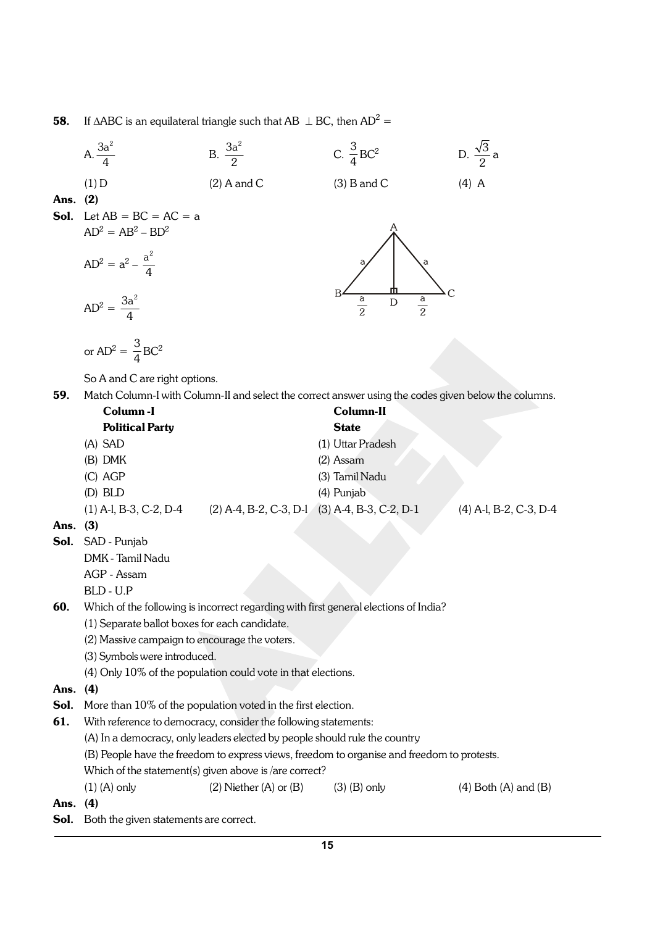**58.** If  $\triangle ABC$  is an equilateral triangle such that AB  $\perp$  BC, then AD<sup>2</sup> =

|      | A. $\frac{3a^2}{4}$                                                        | B. $\frac{3a^2}{2}$          | C. $\frac{3}{4}$ BC <sup>2</sup>                                                                     | D. $\frac{\sqrt{3}}{2}a$   |  |  |  |
|------|----------------------------------------------------------------------------|------------------------------|------------------------------------------------------------------------------------------------------|----------------------------|--|--|--|
|      | $(1)$ D                                                                    | $(2)$ A and C                | $(3)$ B and C                                                                                        | $(4)$ A                    |  |  |  |
| Ans. | (2)                                                                        |                              |                                                                                                      |                            |  |  |  |
| Sol. | Let $AB = BC = AC = a$                                                     |                              |                                                                                                      |                            |  |  |  |
|      | $AD^2 = AB^2 - BD^2$                                                       |                              |                                                                                                      |                            |  |  |  |
|      | $AD^2 = a^2 - \frac{a^2}{4}$                                               |                              | а                                                                                                    |                            |  |  |  |
|      | $AD^2 = \frac{3a^2}{4}$                                                    |                              | $rac{a}{2}$<br>$rac{a}{2}$<br>D                                                                      |                            |  |  |  |
|      | or $AD^2 = \frac{3}{4} BC^2$                                               |                              |                                                                                                      |                            |  |  |  |
|      | So A and C are right options.                                              |                              |                                                                                                      |                            |  |  |  |
| 59.  |                                                                            |                              | Match Column-I with Column-II and select the correct answer using the codes given below the columns. |                            |  |  |  |
|      | Column-I                                                                   |                              | Column-II                                                                                            |                            |  |  |  |
|      | <b>Political Party</b>                                                     |                              | <b>State</b>                                                                                         |                            |  |  |  |
|      | (A) SAD                                                                    |                              | (1) Uttar Pradesh                                                                                    |                            |  |  |  |
|      | (B) DMK                                                                    |                              | $(2)$ Assam                                                                                          |                            |  |  |  |
|      | (C) AGP                                                                    |                              | (3) Tamil Nadu                                                                                       |                            |  |  |  |
|      | (D) BLD                                                                    |                              | (4) Punjab                                                                                           |                            |  |  |  |
|      | $(1)$ A-l, B-3, C-2, D-4 $(2)$ A-4, B-2, C-3, D-1 $(3)$ A-4, B-3, C-2, D-1 |                              |                                                                                                      | (4) A-l, B-2, C-3, D-4     |  |  |  |
| Ans. | (3)                                                                        |                              |                                                                                                      |                            |  |  |  |
| Sol. | SAD - Punjab                                                               |                              |                                                                                                      |                            |  |  |  |
|      | DMK - Tamil Nadu<br>AGP - Assam                                            |                              |                                                                                                      |                            |  |  |  |
|      | BLD - U.P                                                                  |                              |                                                                                                      |                            |  |  |  |
| 60.  |                                                                            |                              | Which of the following is incorrect regarding with first general elections of India?                 |                            |  |  |  |
|      | (1) Separate ballot boxes for each candidate.                              |                              |                                                                                                      |                            |  |  |  |
|      | (2) Massive campaign to encourage the voters.                              |                              |                                                                                                      |                            |  |  |  |
|      | (3) Symbols were introduced.                                               |                              |                                                                                                      |                            |  |  |  |
|      | (4) Only 10% of the population could vote in that elections.               |                              |                                                                                                      |                            |  |  |  |
| Ans. | (4)                                                                        |                              |                                                                                                      |                            |  |  |  |
| Sol. | More than 10% of the population voted in the first election.               |                              |                                                                                                      |                            |  |  |  |
| 61.  | With reference to democracy, consider the following statements:            |                              |                                                                                                      |                            |  |  |  |
|      | (A) In a democracy, only leaders elected by people should rule the country |                              |                                                                                                      |                            |  |  |  |
|      |                                                                            |                              | (B) People have the freedom to express views, freedom to organise and freedom to protests.           |                            |  |  |  |
|      | Which of the statement(s) given above is /are correct?                     |                              |                                                                                                      |                            |  |  |  |
|      | $(1)$ (A) only                                                             | $(2)$ Niether $(A)$ or $(B)$ | $(3)$ (B) only                                                                                       | $(4)$ Both $(A)$ and $(B)$ |  |  |  |
| Ans. | (4)                                                                        |                              |                                                                                                      |                            |  |  |  |
| Sol. | Both the given statements are correct.                                     |                              |                                                                                                      |                            |  |  |  |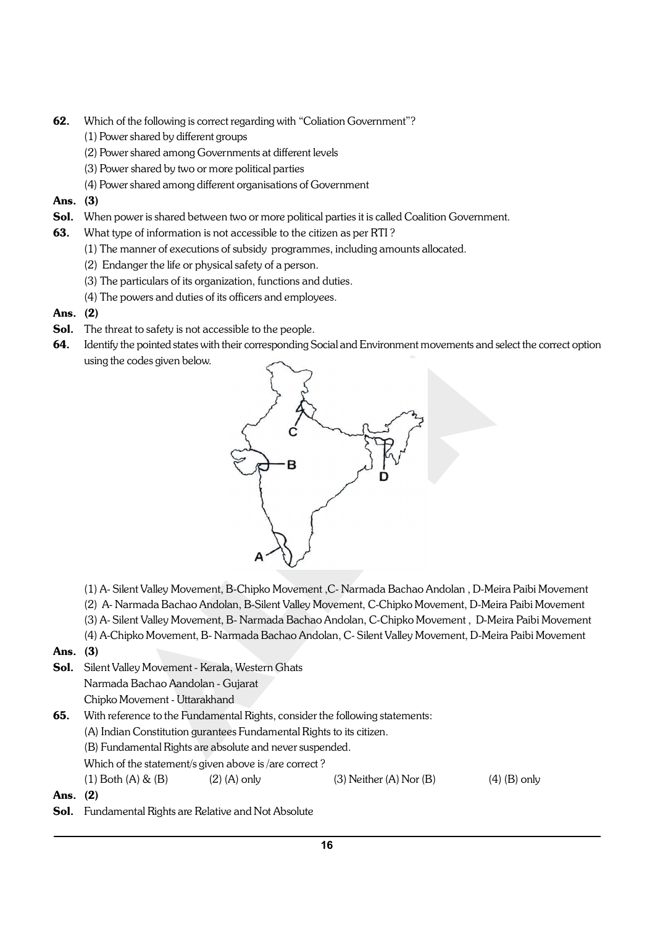- 62. Which of the following is correct regarding with "Coliation Government"?
	- (1) Power shared by different groups
	- (2) Power shared among Governments at different levels
	- (3) Power shared by two or more political parties
	- (4) Power shared among different organisations of Government

## Ans. (3)

- Sol. When power is shared between two or more political parties it is called Coalition Government.
- **63.** What type of information is not accessible to the citizen as per RTI?
	- (1) The manner of executions of subsidy programmes, including amounts allocated.
	- (2) Endanger the life or physical safety of a person.
	- (3) The particulars of its organization, functions and duties.
	- (4) The powers and duties of its officers and employees.
- Ans. (2)
- Sol. The threat to safety is not accessible to the people.
- 64. Identify the pointed states with their corresponding Social and Environment movements and select the correct option using the codes given below.



- (1) A- Silent Valley Movement, B-Chipko Movement ,C- Narmada Bachao Andolan , D-Meira Paibi Movement
- (2) A- Narmada Bachao Andolan, B-Silent Valley Movement, C-Chipko Movement, D-Meira Paibi Movement
- (3) A- Silent Valley Movement, B- Narmada Bachao Andolan, C-Chipko Movement , D-Meira Paibi Movement
- (4) A-Chipko Movement, B- Narmada Bachao Andolan, C- Silent Valley Movement, D-Meira Paibi Movement

## Ans. (3)

Sol. Silent Valley Movement - Kerala, Western Ghats Narmada Bachao Aandolan - Gujarat

Chipko Movement - Uttarakhand

- 65. With reference to the Fundamental Rights, consider the following statements:
	- (A) Indian Constitution gurantees Fundamental Rights to its citizen.
	- (B) Fundamental Rights are absolute and never suspended.
	- Which of the statement/s given above is /are correct ?

(1) Both (A)  $\&$  (B) (2) (A) only (3) Neither (A) Nor (B) (4) (B) only

- Ans. (2)
- Sol. Fundamental Rights are Relative and Not Absolute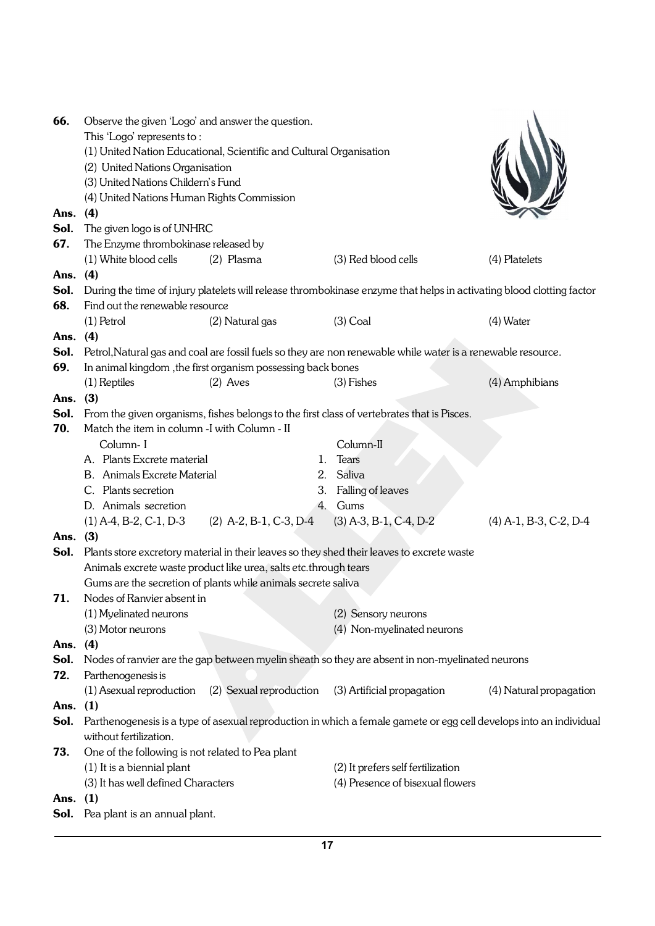| (1) United Nation Educational, Scientific and Cultural Organisation<br>(2) United Nations Organisation<br>(3) United Nations Childern's Fund<br>(4) United Nations Human Rights Commission<br>Ans. (4)<br>The given logo is of UNHRC<br>Sol.<br>67.<br>The Enzyme thrombokinase released by<br>(3) Red blood cells<br>(1) White blood cells<br>(2) Plasma<br>(4) Platelets<br>(4)<br>Ans.<br>Sol.<br>During the time of injury platelets will release thrombokinase enzyme that helps in activating blood clotting factor<br>68.<br>Find out the renewable resource<br>$(1)$ Petrol<br>(2) Natural gas<br>$(3)$ Coal<br>(4) Water<br>Ans. (4)<br>Petrol, Natural gas and coal are fossil fuels so they are non renewable while water is a renewable resource.<br>Sol.<br>69.<br>In animal kingdom, the first organism possessing back bones<br>(4) Amphibians<br>$(2)$ Aves<br>(3) Fishes<br>(1) Reptiles<br>Ans. $(3)$<br>Sol.<br>From the given organisms, fishes belongs to the first class of vertebrates that is Pisces.<br>70.<br>Match the item in column -I with Column - II<br>Column-I<br>Column-II<br>A. Plants Excrete material<br><b>Tears</b><br>1.<br><b>B.</b> Animals Excrete Material<br>Saliva<br>2.<br>3. Falling of leaves<br>C. Plants secretion<br>4. Gums<br>D. Animals secretion<br>$(2)$ A-2, B-1, C-3, D-4<br>$(3)$ A-3, B-1, C-4, D-2<br>$(4)$ A-1, B-3, C-2, D-4<br>$(1)$ A-4, B-2, C-1, D-3<br>Ans. (3)<br>Plants store excretory material in their leaves so they shed their leaves to excrete waste<br>Sol.<br>Animals excrete waste product like urea, salts etc.through tears<br>Gums are the secretion of plants while animals secrete saliva<br>Nodes of Ranvier absent in<br>71.<br>(1) Myelinated neurons<br>(2) Sensory neurons<br>(4) Non-myelinated neurons<br>(3) Motor neurons<br>(4)<br>Ans.<br>Sol.<br>Nodes of ranvier are the gap between myelin sheath so they are absent in non-myelinated neurons<br>72.<br>Parthenogenesis is<br>(1) Asexual reproduction<br>(2) Sexual reproduction<br>(3) Artificial propagation<br>Ans. $(1)$<br>Sol.<br>Parthenogenesis is a type of asexual reproduction in which a female gamete or egg cell develops into an individual<br>without fertilization.<br>One of the following is not related to Pea plant<br>73.<br>(2) It prefers self fertilization<br>(1) It is a biennial plant<br>(3) It has well defined Characters<br>(4) Presence of bisexual flowers | 66. | Observe the given 'Logo' and answer the question. |  |  |  |                         |  |  |  |
|-----------------------------------------------------------------------------------------------------------------------------------------------------------------------------------------------------------------------------------------------------------------------------------------------------------------------------------------------------------------------------------------------------------------------------------------------------------------------------------------------------------------------------------------------------------------------------------------------------------------------------------------------------------------------------------------------------------------------------------------------------------------------------------------------------------------------------------------------------------------------------------------------------------------------------------------------------------------------------------------------------------------------------------------------------------------------------------------------------------------------------------------------------------------------------------------------------------------------------------------------------------------------------------------------------------------------------------------------------------------------------------------------------------------------------------------------------------------------------------------------------------------------------------------------------------------------------------------------------------------------------------------------------------------------------------------------------------------------------------------------------------------------------------------------------------------------------------------------------------------------------------------------------------------------------------------------------------------------------------------------------------------------------------------------------------------------------------------------------------------------------------------------------------------------------------------------------------------------------------------------------------------------------------------------------------------------------------------------------------------------------------------------------------------------------------------------------|-----|---------------------------------------------------|--|--|--|-------------------------|--|--|--|
|                                                                                                                                                                                                                                                                                                                                                                                                                                                                                                                                                                                                                                                                                                                                                                                                                                                                                                                                                                                                                                                                                                                                                                                                                                                                                                                                                                                                                                                                                                                                                                                                                                                                                                                                                                                                                                                                                                                                                                                                                                                                                                                                                                                                                                                                                                                                                                                                                                                     |     | This 'Logo' represents to:                        |  |  |  |                         |  |  |  |
|                                                                                                                                                                                                                                                                                                                                                                                                                                                                                                                                                                                                                                                                                                                                                                                                                                                                                                                                                                                                                                                                                                                                                                                                                                                                                                                                                                                                                                                                                                                                                                                                                                                                                                                                                                                                                                                                                                                                                                                                                                                                                                                                                                                                                                                                                                                                                                                                                                                     |     |                                                   |  |  |  |                         |  |  |  |
|                                                                                                                                                                                                                                                                                                                                                                                                                                                                                                                                                                                                                                                                                                                                                                                                                                                                                                                                                                                                                                                                                                                                                                                                                                                                                                                                                                                                                                                                                                                                                                                                                                                                                                                                                                                                                                                                                                                                                                                                                                                                                                                                                                                                                                                                                                                                                                                                                                                     |     |                                                   |  |  |  |                         |  |  |  |
|                                                                                                                                                                                                                                                                                                                                                                                                                                                                                                                                                                                                                                                                                                                                                                                                                                                                                                                                                                                                                                                                                                                                                                                                                                                                                                                                                                                                                                                                                                                                                                                                                                                                                                                                                                                                                                                                                                                                                                                                                                                                                                                                                                                                                                                                                                                                                                                                                                                     |     |                                                   |  |  |  |                         |  |  |  |
|                                                                                                                                                                                                                                                                                                                                                                                                                                                                                                                                                                                                                                                                                                                                                                                                                                                                                                                                                                                                                                                                                                                                                                                                                                                                                                                                                                                                                                                                                                                                                                                                                                                                                                                                                                                                                                                                                                                                                                                                                                                                                                                                                                                                                                                                                                                                                                                                                                                     |     |                                                   |  |  |  |                         |  |  |  |
|                                                                                                                                                                                                                                                                                                                                                                                                                                                                                                                                                                                                                                                                                                                                                                                                                                                                                                                                                                                                                                                                                                                                                                                                                                                                                                                                                                                                                                                                                                                                                                                                                                                                                                                                                                                                                                                                                                                                                                                                                                                                                                                                                                                                                                                                                                                                                                                                                                                     |     |                                                   |  |  |  |                         |  |  |  |
|                                                                                                                                                                                                                                                                                                                                                                                                                                                                                                                                                                                                                                                                                                                                                                                                                                                                                                                                                                                                                                                                                                                                                                                                                                                                                                                                                                                                                                                                                                                                                                                                                                                                                                                                                                                                                                                                                                                                                                                                                                                                                                                                                                                                                                                                                                                                                                                                                                                     |     |                                                   |  |  |  |                         |  |  |  |
|                                                                                                                                                                                                                                                                                                                                                                                                                                                                                                                                                                                                                                                                                                                                                                                                                                                                                                                                                                                                                                                                                                                                                                                                                                                                                                                                                                                                                                                                                                                                                                                                                                                                                                                                                                                                                                                                                                                                                                                                                                                                                                                                                                                                                                                                                                                                                                                                                                                     |     |                                                   |  |  |  |                         |  |  |  |
|                                                                                                                                                                                                                                                                                                                                                                                                                                                                                                                                                                                                                                                                                                                                                                                                                                                                                                                                                                                                                                                                                                                                                                                                                                                                                                                                                                                                                                                                                                                                                                                                                                                                                                                                                                                                                                                                                                                                                                                                                                                                                                                                                                                                                                                                                                                                                                                                                                                     |     |                                                   |  |  |  |                         |  |  |  |
|                                                                                                                                                                                                                                                                                                                                                                                                                                                                                                                                                                                                                                                                                                                                                                                                                                                                                                                                                                                                                                                                                                                                                                                                                                                                                                                                                                                                                                                                                                                                                                                                                                                                                                                                                                                                                                                                                                                                                                                                                                                                                                                                                                                                                                                                                                                                                                                                                                                     |     |                                                   |  |  |  |                         |  |  |  |
|                                                                                                                                                                                                                                                                                                                                                                                                                                                                                                                                                                                                                                                                                                                                                                                                                                                                                                                                                                                                                                                                                                                                                                                                                                                                                                                                                                                                                                                                                                                                                                                                                                                                                                                                                                                                                                                                                                                                                                                                                                                                                                                                                                                                                                                                                                                                                                                                                                                     |     |                                                   |  |  |  |                         |  |  |  |
|                                                                                                                                                                                                                                                                                                                                                                                                                                                                                                                                                                                                                                                                                                                                                                                                                                                                                                                                                                                                                                                                                                                                                                                                                                                                                                                                                                                                                                                                                                                                                                                                                                                                                                                                                                                                                                                                                                                                                                                                                                                                                                                                                                                                                                                                                                                                                                                                                                                     |     |                                                   |  |  |  |                         |  |  |  |
|                                                                                                                                                                                                                                                                                                                                                                                                                                                                                                                                                                                                                                                                                                                                                                                                                                                                                                                                                                                                                                                                                                                                                                                                                                                                                                                                                                                                                                                                                                                                                                                                                                                                                                                                                                                                                                                                                                                                                                                                                                                                                                                                                                                                                                                                                                                                                                                                                                                     |     |                                                   |  |  |  |                         |  |  |  |
|                                                                                                                                                                                                                                                                                                                                                                                                                                                                                                                                                                                                                                                                                                                                                                                                                                                                                                                                                                                                                                                                                                                                                                                                                                                                                                                                                                                                                                                                                                                                                                                                                                                                                                                                                                                                                                                                                                                                                                                                                                                                                                                                                                                                                                                                                                                                                                                                                                                     |     |                                                   |  |  |  |                         |  |  |  |
|                                                                                                                                                                                                                                                                                                                                                                                                                                                                                                                                                                                                                                                                                                                                                                                                                                                                                                                                                                                                                                                                                                                                                                                                                                                                                                                                                                                                                                                                                                                                                                                                                                                                                                                                                                                                                                                                                                                                                                                                                                                                                                                                                                                                                                                                                                                                                                                                                                                     |     |                                                   |  |  |  |                         |  |  |  |
|                                                                                                                                                                                                                                                                                                                                                                                                                                                                                                                                                                                                                                                                                                                                                                                                                                                                                                                                                                                                                                                                                                                                                                                                                                                                                                                                                                                                                                                                                                                                                                                                                                                                                                                                                                                                                                                                                                                                                                                                                                                                                                                                                                                                                                                                                                                                                                                                                                                     |     |                                                   |  |  |  |                         |  |  |  |
|                                                                                                                                                                                                                                                                                                                                                                                                                                                                                                                                                                                                                                                                                                                                                                                                                                                                                                                                                                                                                                                                                                                                                                                                                                                                                                                                                                                                                                                                                                                                                                                                                                                                                                                                                                                                                                                                                                                                                                                                                                                                                                                                                                                                                                                                                                                                                                                                                                                     |     |                                                   |  |  |  |                         |  |  |  |
|                                                                                                                                                                                                                                                                                                                                                                                                                                                                                                                                                                                                                                                                                                                                                                                                                                                                                                                                                                                                                                                                                                                                                                                                                                                                                                                                                                                                                                                                                                                                                                                                                                                                                                                                                                                                                                                                                                                                                                                                                                                                                                                                                                                                                                                                                                                                                                                                                                                     |     |                                                   |  |  |  |                         |  |  |  |
|                                                                                                                                                                                                                                                                                                                                                                                                                                                                                                                                                                                                                                                                                                                                                                                                                                                                                                                                                                                                                                                                                                                                                                                                                                                                                                                                                                                                                                                                                                                                                                                                                                                                                                                                                                                                                                                                                                                                                                                                                                                                                                                                                                                                                                                                                                                                                                                                                                                     |     |                                                   |  |  |  |                         |  |  |  |
|                                                                                                                                                                                                                                                                                                                                                                                                                                                                                                                                                                                                                                                                                                                                                                                                                                                                                                                                                                                                                                                                                                                                                                                                                                                                                                                                                                                                                                                                                                                                                                                                                                                                                                                                                                                                                                                                                                                                                                                                                                                                                                                                                                                                                                                                                                                                                                                                                                                     |     |                                                   |  |  |  |                         |  |  |  |
|                                                                                                                                                                                                                                                                                                                                                                                                                                                                                                                                                                                                                                                                                                                                                                                                                                                                                                                                                                                                                                                                                                                                                                                                                                                                                                                                                                                                                                                                                                                                                                                                                                                                                                                                                                                                                                                                                                                                                                                                                                                                                                                                                                                                                                                                                                                                                                                                                                                     |     |                                                   |  |  |  |                         |  |  |  |
|                                                                                                                                                                                                                                                                                                                                                                                                                                                                                                                                                                                                                                                                                                                                                                                                                                                                                                                                                                                                                                                                                                                                                                                                                                                                                                                                                                                                                                                                                                                                                                                                                                                                                                                                                                                                                                                                                                                                                                                                                                                                                                                                                                                                                                                                                                                                                                                                                                                     |     |                                                   |  |  |  |                         |  |  |  |
|                                                                                                                                                                                                                                                                                                                                                                                                                                                                                                                                                                                                                                                                                                                                                                                                                                                                                                                                                                                                                                                                                                                                                                                                                                                                                                                                                                                                                                                                                                                                                                                                                                                                                                                                                                                                                                                                                                                                                                                                                                                                                                                                                                                                                                                                                                                                                                                                                                                     |     |                                                   |  |  |  |                         |  |  |  |
|                                                                                                                                                                                                                                                                                                                                                                                                                                                                                                                                                                                                                                                                                                                                                                                                                                                                                                                                                                                                                                                                                                                                                                                                                                                                                                                                                                                                                                                                                                                                                                                                                                                                                                                                                                                                                                                                                                                                                                                                                                                                                                                                                                                                                                                                                                                                                                                                                                                     |     |                                                   |  |  |  |                         |  |  |  |
|                                                                                                                                                                                                                                                                                                                                                                                                                                                                                                                                                                                                                                                                                                                                                                                                                                                                                                                                                                                                                                                                                                                                                                                                                                                                                                                                                                                                                                                                                                                                                                                                                                                                                                                                                                                                                                                                                                                                                                                                                                                                                                                                                                                                                                                                                                                                                                                                                                                     |     |                                                   |  |  |  |                         |  |  |  |
|                                                                                                                                                                                                                                                                                                                                                                                                                                                                                                                                                                                                                                                                                                                                                                                                                                                                                                                                                                                                                                                                                                                                                                                                                                                                                                                                                                                                                                                                                                                                                                                                                                                                                                                                                                                                                                                                                                                                                                                                                                                                                                                                                                                                                                                                                                                                                                                                                                                     |     |                                                   |  |  |  |                         |  |  |  |
|                                                                                                                                                                                                                                                                                                                                                                                                                                                                                                                                                                                                                                                                                                                                                                                                                                                                                                                                                                                                                                                                                                                                                                                                                                                                                                                                                                                                                                                                                                                                                                                                                                                                                                                                                                                                                                                                                                                                                                                                                                                                                                                                                                                                                                                                                                                                                                                                                                                     |     |                                                   |  |  |  |                         |  |  |  |
|                                                                                                                                                                                                                                                                                                                                                                                                                                                                                                                                                                                                                                                                                                                                                                                                                                                                                                                                                                                                                                                                                                                                                                                                                                                                                                                                                                                                                                                                                                                                                                                                                                                                                                                                                                                                                                                                                                                                                                                                                                                                                                                                                                                                                                                                                                                                                                                                                                                     |     |                                                   |  |  |  |                         |  |  |  |
|                                                                                                                                                                                                                                                                                                                                                                                                                                                                                                                                                                                                                                                                                                                                                                                                                                                                                                                                                                                                                                                                                                                                                                                                                                                                                                                                                                                                                                                                                                                                                                                                                                                                                                                                                                                                                                                                                                                                                                                                                                                                                                                                                                                                                                                                                                                                                                                                                                                     |     |                                                   |  |  |  |                         |  |  |  |
|                                                                                                                                                                                                                                                                                                                                                                                                                                                                                                                                                                                                                                                                                                                                                                                                                                                                                                                                                                                                                                                                                                                                                                                                                                                                                                                                                                                                                                                                                                                                                                                                                                                                                                                                                                                                                                                                                                                                                                                                                                                                                                                                                                                                                                                                                                                                                                                                                                                     |     |                                                   |  |  |  |                         |  |  |  |
|                                                                                                                                                                                                                                                                                                                                                                                                                                                                                                                                                                                                                                                                                                                                                                                                                                                                                                                                                                                                                                                                                                                                                                                                                                                                                                                                                                                                                                                                                                                                                                                                                                                                                                                                                                                                                                                                                                                                                                                                                                                                                                                                                                                                                                                                                                                                                                                                                                                     |     |                                                   |  |  |  |                         |  |  |  |
|                                                                                                                                                                                                                                                                                                                                                                                                                                                                                                                                                                                                                                                                                                                                                                                                                                                                                                                                                                                                                                                                                                                                                                                                                                                                                                                                                                                                                                                                                                                                                                                                                                                                                                                                                                                                                                                                                                                                                                                                                                                                                                                                                                                                                                                                                                                                                                                                                                                     |     |                                                   |  |  |  |                         |  |  |  |
|                                                                                                                                                                                                                                                                                                                                                                                                                                                                                                                                                                                                                                                                                                                                                                                                                                                                                                                                                                                                                                                                                                                                                                                                                                                                                                                                                                                                                                                                                                                                                                                                                                                                                                                                                                                                                                                                                                                                                                                                                                                                                                                                                                                                                                                                                                                                                                                                                                                     |     |                                                   |  |  |  |                         |  |  |  |
|                                                                                                                                                                                                                                                                                                                                                                                                                                                                                                                                                                                                                                                                                                                                                                                                                                                                                                                                                                                                                                                                                                                                                                                                                                                                                                                                                                                                                                                                                                                                                                                                                                                                                                                                                                                                                                                                                                                                                                                                                                                                                                                                                                                                                                                                                                                                                                                                                                                     |     |                                                   |  |  |  |                         |  |  |  |
|                                                                                                                                                                                                                                                                                                                                                                                                                                                                                                                                                                                                                                                                                                                                                                                                                                                                                                                                                                                                                                                                                                                                                                                                                                                                                                                                                                                                                                                                                                                                                                                                                                                                                                                                                                                                                                                                                                                                                                                                                                                                                                                                                                                                                                                                                                                                                                                                                                                     |     |                                                   |  |  |  |                         |  |  |  |
|                                                                                                                                                                                                                                                                                                                                                                                                                                                                                                                                                                                                                                                                                                                                                                                                                                                                                                                                                                                                                                                                                                                                                                                                                                                                                                                                                                                                                                                                                                                                                                                                                                                                                                                                                                                                                                                                                                                                                                                                                                                                                                                                                                                                                                                                                                                                                                                                                                                     |     |                                                   |  |  |  |                         |  |  |  |
|                                                                                                                                                                                                                                                                                                                                                                                                                                                                                                                                                                                                                                                                                                                                                                                                                                                                                                                                                                                                                                                                                                                                                                                                                                                                                                                                                                                                                                                                                                                                                                                                                                                                                                                                                                                                                                                                                                                                                                                                                                                                                                                                                                                                                                                                                                                                                                                                                                                     |     |                                                   |  |  |  |                         |  |  |  |
|                                                                                                                                                                                                                                                                                                                                                                                                                                                                                                                                                                                                                                                                                                                                                                                                                                                                                                                                                                                                                                                                                                                                                                                                                                                                                                                                                                                                                                                                                                                                                                                                                                                                                                                                                                                                                                                                                                                                                                                                                                                                                                                                                                                                                                                                                                                                                                                                                                                     |     |                                                   |  |  |  | (4) Natural propagation |  |  |  |
|                                                                                                                                                                                                                                                                                                                                                                                                                                                                                                                                                                                                                                                                                                                                                                                                                                                                                                                                                                                                                                                                                                                                                                                                                                                                                                                                                                                                                                                                                                                                                                                                                                                                                                                                                                                                                                                                                                                                                                                                                                                                                                                                                                                                                                                                                                                                                                                                                                                     |     |                                                   |  |  |  |                         |  |  |  |
|                                                                                                                                                                                                                                                                                                                                                                                                                                                                                                                                                                                                                                                                                                                                                                                                                                                                                                                                                                                                                                                                                                                                                                                                                                                                                                                                                                                                                                                                                                                                                                                                                                                                                                                                                                                                                                                                                                                                                                                                                                                                                                                                                                                                                                                                                                                                                                                                                                                     |     |                                                   |  |  |  |                         |  |  |  |
|                                                                                                                                                                                                                                                                                                                                                                                                                                                                                                                                                                                                                                                                                                                                                                                                                                                                                                                                                                                                                                                                                                                                                                                                                                                                                                                                                                                                                                                                                                                                                                                                                                                                                                                                                                                                                                                                                                                                                                                                                                                                                                                                                                                                                                                                                                                                                                                                                                                     |     |                                                   |  |  |  |                         |  |  |  |
|                                                                                                                                                                                                                                                                                                                                                                                                                                                                                                                                                                                                                                                                                                                                                                                                                                                                                                                                                                                                                                                                                                                                                                                                                                                                                                                                                                                                                                                                                                                                                                                                                                                                                                                                                                                                                                                                                                                                                                                                                                                                                                                                                                                                                                                                                                                                                                                                                                                     |     |                                                   |  |  |  |                         |  |  |  |
|                                                                                                                                                                                                                                                                                                                                                                                                                                                                                                                                                                                                                                                                                                                                                                                                                                                                                                                                                                                                                                                                                                                                                                                                                                                                                                                                                                                                                                                                                                                                                                                                                                                                                                                                                                                                                                                                                                                                                                                                                                                                                                                                                                                                                                                                                                                                                                                                                                                     |     |                                                   |  |  |  |                         |  |  |  |
|                                                                                                                                                                                                                                                                                                                                                                                                                                                                                                                                                                                                                                                                                                                                                                                                                                                                                                                                                                                                                                                                                                                                                                                                                                                                                                                                                                                                                                                                                                                                                                                                                                                                                                                                                                                                                                                                                                                                                                                                                                                                                                                                                                                                                                                                                                                                                                                                                                                     |     |                                                   |  |  |  |                         |  |  |  |
| Ans. (1)                                                                                                                                                                                                                                                                                                                                                                                                                                                                                                                                                                                                                                                                                                                                                                                                                                                                                                                                                                                                                                                                                                                                                                                                                                                                                                                                                                                                                                                                                                                                                                                                                                                                                                                                                                                                                                                                                                                                                                                                                                                                                                                                                                                                                                                                                                                                                                                                                                            |     |                                                   |  |  |  |                         |  |  |  |
| Sol.<br>Pea plant is an annual plant.                                                                                                                                                                                                                                                                                                                                                                                                                                                                                                                                                                                                                                                                                                                                                                                                                                                                                                                                                                                                                                                                                                                                                                                                                                                                                                                                                                                                                                                                                                                                                                                                                                                                                                                                                                                                                                                                                                                                                                                                                                                                                                                                                                                                                                                                                                                                                                                                               |     |                                                   |  |  |  |                         |  |  |  |
|                                                                                                                                                                                                                                                                                                                                                                                                                                                                                                                                                                                                                                                                                                                                                                                                                                                                                                                                                                                                                                                                                                                                                                                                                                                                                                                                                                                                                                                                                                                                                                                                                                                                                                                                                                                                                                                                                                                                                                                                                                                                                                                                                                                                                                                                                                                                                                                                                                                     |     |                                                   |  |  |  |                         |  |  |  |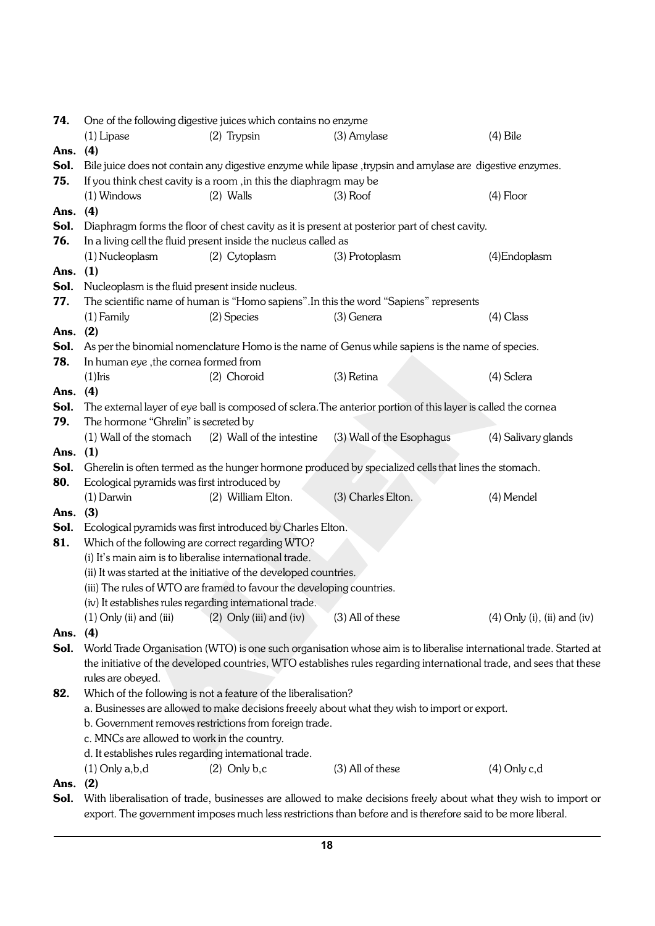| 74.          |                                                                                                                                                                                                                                                                  | One of the following digestive juices which contains no enzyme        |                                                                                                                     |                                      |  |  |  |  |
|--------------|------------------------------------------------------------------------------------------------------------------------------------------------------------------------------------------------------------------------------------------------------------------|-----------------------------------------------------------------------|---------------------------------------------------------------------------------------------------------------------|--------------------------------------|--|--|--|--|
|              | $(1)$ Lipase                                                                                                                                                                                                                                                     | $(2)$ Trypsin                                                         | (3) Amylase                                                                                                         | $(4)$ Bile                           |  |  |  |  |
| Ans.         | (4)                                                                                                                                                                                                                                                              |                                                                       |                                                                                                                     |                                      |  |  |  |  |
| Sol.         | Bile juice does not contain any digestive enzyme while lipase, trypsin and amylase are digestive enzymes.                                                                                                                                                        |                                                                       |                                                                                                                     |                                      |  |  |  |  |
| 75.          | If you think chest cavity is a room, in this the diaphragm may be                                                                                                                                                                                                |                                                                       |                                                                                                                     |                                      |  |  |  |  |
|              | $(1)$ Windows                                                                                                                                                                                                                                                    | $(2)$ Walls                                                           | $(3)$ Roof                                                                                                          | $(4)$ Floor                          |  |  |  |  |
| Ans.         | (4)                                                                                                                                                                                                                                                              |                                                                       |                                                                                                                     |                                      |  |  |  |  |
| Sol.         |                                                                                                                                                                                                                                                                  |                                                                       | Diaphragm forms the floor of chest cavity as it is present at posterior part of chest cavity.                       |                                      |  |  |  |  |
| 76.          |                                                                                                                                                                                                                                                                  | In a living cell the fluid present inside the nucleus called as       |                                                                                                                     |                                      |  |  |  |  |
|              | (1) Nucleoplasm                                                                                                                                                                                                                                                  | (2) Cytoplasm                                                         | (3) Protoplasm                                                                                                      | (4) Endoplasm                        |  |  |  |  |
| Ans.         | (1)                                                                                                                                                                                                                                                              |                                                                       |                                                                                                                     |                                      |  |  |  |  |
| Sol.         | Nucleoplasm is the fluid present inside nucleus.                                                                                                                                                                                                                 |                                                                       |                                                                                                                     |                                      |  |  |  |  |
| 77.          |                                                                                                                                                                                                                                                                  |                                                                       | The scientific name of human is "Homo sapiens". In this the word "Sapiens" represents                               |                                      |  |  |  |  |
|              | $(1)$ Family                                                                                                                                                                                                                                                     | (2) Species                                                           | (3) Genera                                                                                                          | $(4)$ Class                          |  |  |  |  |
| Ans.         | (2)                                                                                                                                                                                                                                                              |                                                                       |                                                                                                                     |                                      |  |  |  |  |
| Sol.         |                                                                                                                                                                                                                                                                  |                                                                       | As per the binomial nomenclature Homo is the name of Genus while sapiens is the name of species.                    |                                      |  |  |  |  |
| 78.          | In human eye, the cornea formed from                                                                                                                                                                                                                             |                                                                       |                                                                                                                     |                                      |  |  |  |  |
|              | $(1)$ Iris                                                                                                                                                                                                                                                       | (2) Choroid                                                           | (3) Retina                                                                                                          | (4) Sclera                           |  |  |  |  |
| Ans. (4)     |                                                                                                                                                                                                                                                                  |                                                                       |                                                                                                                     |                                      |  |  |  |  |
| Sol.         |                                                                                                                                                                                                                                                                  |                                                                       | The external layer of eye ball is composed of sclera. The anterior portion of this layer is called the cornea       |                                      |  |  |  |  |
| 79.          | The hormone "Ghrelin" is secreted by                                                                                                                                                                                                                             |                                                                       |                                                                                                                     |                                      |  |  |  |  |
|              | (1) Wall of the stomach                                                                                                                                                                                                                                          | (2) Wall of the intestine                                             | (3) Wall of the Esophagus                                                                                           | (4) Salivary glands                  |  |  |  |  |
| Ans.         | (1)                                                                                                                                                                                                                                                              |                                                                       |                                                                                                                     |                                      |  |  |  |  |
| Sol.         |                                                                                                                                                                                                                                                                  |                                                                       | Gherelin is often termed as the hunger hormone produced by specialized cells that lines the stomach.                |                                      |  |  |  |  |
| 80.          | Ecological pyramids was first introduced by                                                                                                                                                                                                                      |                                                                       |                                                                                                                     |                                      |  |  |  |  |
|              | $(1)$ Darwin                                                                                                                                                                                                                                                     | (2) William Elton.                                                    | (3) Charles Elton.                                                                                                  | (4) Mendel                           |  |  |  |  |
| Ans.         | (3)                                                                                                                                                                                                                                                              |                                                                       |                                                                                                                     |                                      |  |  |  |  |
| Sol.         |                                                                                                                                                                                                                                                                  | Ecological pyramids was first introduced by Charles Elton.            |                                                                                                                     |                                      |  |  |  |  |
| 81.          | Which of the following are correct regarding WTO?                                                                                                                                                                                                                |                                                                       |                                                                                                                     |                                      |  |  |  |  |
|              | (i) It's main aim is to liberalise international trade.                                                                                                                                                                                                          |                                                                       |                                                                                                                     |                                      |  |  |  |  |
|              |                                                                                                                                                                                                                                                                  | (ii) It was started at the initiative of the developed countries.     |                                                                                                                     |                                      |  |  |  |  |
|              |                                                                                                                                                                                                                                                                  | (iii) The rules of WTO are framed to favour the developing countries. |                                                                                                                     |                                      |  |  |  |  |
|              |                                                                                                                                                                                                                                                                  | (iv) It establishes rules regarding international trade.              |                                                                                                                     |                                      |  |  |  |  |
|              | $(1)$ Only (ii) and (iii)                                                                                                                                                                                                                                        | $(2)$ Only (iii) and (iv)                                             | (3) All of these                                                                                                    | $(4)$ Only $(i)$ , $(ii)$ and $(iv)$ |  |  |  |  |
| Ans.         | (4)                                                                                                                                                                                                                                                              |                                                                       |                                                                                                                     |                                      |  |  |  |  |
| Sol.         |                                                                                                                                                                                                                                                                  |                                                                       | World Trade Organisation (WTO) is one such organisation whose aim is to liberalise international trade. Started at  |                                      |  |  |  |  |
|              |                                                                                                                                                                                                                                                                  |                                                                       | the initiative of the developed countries, WTO establishes rules regarding international trade, and sees that these |                                      |  |  |  |  |
|              | rules are obeyed.                                                                                                                                                                                                                                                |                                                                       |                                                                                                                     |                                      |  |  |  |  |
| 82.          |                                                                                                                                                                                                                                                                  | Which of the following is not a feature of the liberalisation?        |                                                                                                                     |                                      |  |  |  |  |
|              | a. Businesses are allowed to make decisions freeely about what they wish to import or export.<br>b. Government removes restrictions from foreign trade.<br>c. MNCs are allowed to work in the country.<br>d. It establishes rules regarding international trade. |                                                                       |                                                                                                                     |                                      |  |  |  |  |
|              |                                                                                                                                                                                                                                                                  |                                                                       |                                                                                                                     |                                      |  |  |  |  |
|              |                                                                                                                                                                                                                                                                  |                                                                       |                                                                                                                     |                                      |  |  |  |  |
|              |                                                                                                                                                                                                                                                                  |                                                                       |                                                                                                                     |                                      |  |  |  |  |
|              | $(1)$ Only a, b, d<br>(2)                                                                                                                                                                                                                                        | $(2)$ Only b,c                                                        | (3) All of these                                                                                                    | $(4)$ Only c,d                       |  |  |  |  |
| Ans.<br>Sol. |                                                                                                                                                                                                                                                                  |                                                                       | With liberalisation of trade, businesses are allowed to make decisions freely about what they wish to import or     |                                      |  |  |  |  |
|              |                                                                                                                                                                                                                                                                  |                                                                       |                                                                                                                     |                                      |  |  |  |  |
|              | export. The government imposes much less restrictions than before and is therefore said to be more liberal.                                                                                                                                                      |                                                                       |                                                                                                                     |                                      |  |  |  |  |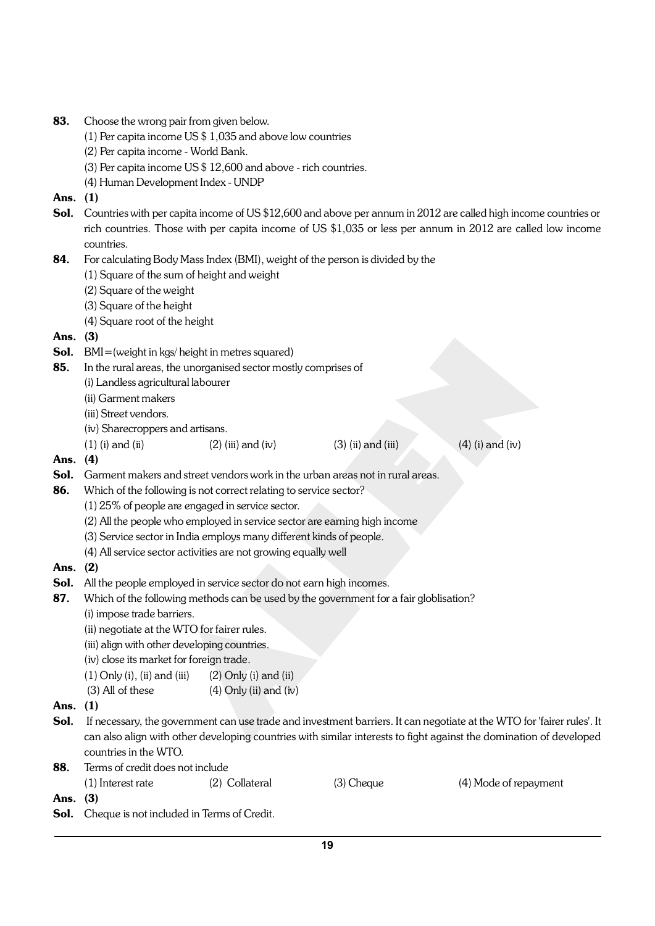- 83. Choose the wrong pair from given below.
	- (1) Per capita income US \$ 1,035 and above low countries
	- (2) Per capita income World Bank.
	- (3) Per capita income US \$ 12,600 and above rich countries.
	- (4) Human Development Index UNDP
- Ans. (1)
- Sol. Countries with per capita income of US \$12,600 and above per annum in 2012 are called high income countries or rich countries. Those with per capita income of US \$1,035 or less per annum in 2012 are called low income countries.
- 84. For calculating Body Mass Index (BMI), weight of the person is divided by the
	- (1) Square of the sum of height and weight
	- (2) Square of the weight
	- (3) Square of the height
	- (4) Square root of the height
- Ans. (3)
- Sol. BMI=(weight in kgs/ height in metres squared)
- 85. In the rural areas, the unorganised sector mostly comprises of
	- (i) Landless agricultural labourer
	- (ii) Garment makers
	- (iii) Street vendors.
	- (iv) Sharecroppers and artisans.
	- (1) (i) and (ii)  $(2)$  (iii) and (iv)  $(3)$  (ii) and (iii)  $(4)$  (i) and (iv)

- Ans. (4)
- Sol. Garment makers and street vendors work in the urban areas not in rural areas.
- 86. Which of the following is not correct relating to service sector?
	- (1) 25% of people are engaged in service sector.
	- (2) All the people who employed in service sector are earning high income
	- (3) Service sector in India employs many different kinds of people.
	- (4) All service sector activities are not growing equally well
- Ans. (2)
- Sol. All the people employed in service sector do not earn high incomes.
- 87. Which of the following methods can be used by the government for a fair globlisation?
	- (i) impose trade barriers.
	- (ii) negotiate at the WTO for fairer rules.
	- (iii) align with other developing countries.
	- (iv) close its market for foreign trade.
	- $(1)$  Only  $(i)$ ,  $(ii)$  and  $(iii)$   $(2)$  Only  $(i)$  and  $(ii)$
	- (3) All of these  $(4)$  Only (ii) and (iv)
- Ans. (1)
- Sol. If necessary, the government can use trade and investment barriers. It can negotiate at the WTO for 'fairer rules'. It can also align with other developing countries with similar interests to fight against the domination of developed countries in the WTO.
- 88. Terms of credit does not include (1) Interest rate (2) Collateral (3) Cheque (4) Mode of repayment Ans. (3)
- Sol. Cheque is not included in Terms of Credit.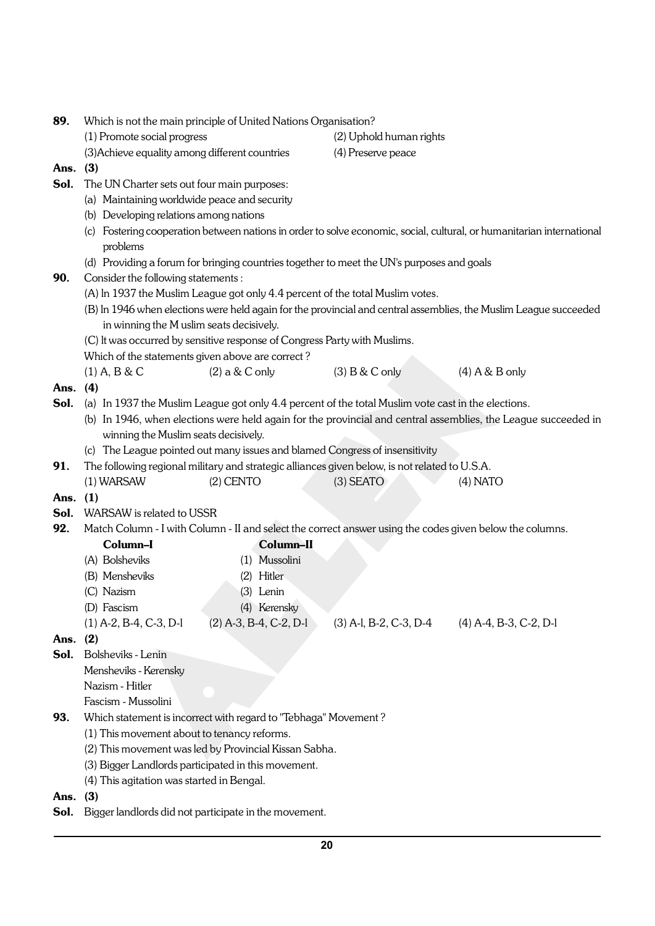| 89.      | Which is not the main principle of United Nations Organisation?                                                                                                         |                                                                             |                                                                                                          |                  |  |  |  |  |
|----------|-------------------------------------------------------------------------------------------------------------------------------------------------------------------------|-----------------------------------------------------------------------------|----------------------------------------------------------------------------------------------------------|------------------|--|--|--|--|
|          | (1) Promote social progress                                                                                                                                             |                                                                             | (2) Uphold human rights                                                                                  |                  |  |  |  |  |
|          | (3) Achieve equality among different countries                                                                                                                          |                                                                             | (4) Preserve peace                                                                                       |                  |  |  |  |  |
| Ans.     | (3)                                                                                                                                                                     |                                                                             |                                                                                                          |                  |  |  |  |  |
| Sol.     | The UN Charter sets out four main purposes:                                                                                                                             |                                                                             |                                                                                                          |                  |  |  |  |  |
|          | (a) Maintaining worldwide peace and security                                                                                                                            |                                                                             |                                                                                                          |                  |  |  |  |  |
|          | (b) Developing relations among nations                                                                                                                                  |                                                                             |                                                                                                          |                  |  |  |  |  |
|          | (c) Fostering cooperation between nations in order to solve economic, social, cultural, or humanitarian international                                                   |                                                                             |                                                                                                          |                  |  |  |  |  |
|          | problems                                                                                                                                                                |                                                                             |                                                                                                          |                  |  |  |  |  |
|          | (d) Providing a forum for bringing countries together to meet the UN's purposes and goals                                                                               |                                                                             |                                                                                                          |                  |  |  |  |  |
| 90.      |                                                                                                                                                                         | Consider the following statements:                                          |                                                                                                          |                  |  |  |  |  |
|          | (A) In 1937 the Muslim League got only 4.4 percent of the total Muslim votes.                                                                                           |                                                                             |                                                                                                          |                  |  |  |  |  |
|          | (B) In 1946 when elections were held again for the provincial and central assemblies, the Muslim League succeeded                                                       |                                                                             |                                                                                                          |                  |  |  |  |  |
|          | in winning the M uslim seats decisively.                                                                                                                                |                                                                             |                                                                                                          |                  |  |  |  |  |
|          |                                                                                                                                                                         | (C) It was occurred by sensitive response of Congress Party with Muslims.   |                                                                                                          |                  |  |  |  |  |
|          | Which of the statements given above are correct?                                                                                                                        |                                                                             |                                                                                                          |                  |  |  |  |  |
|          | $(1)$ A, B & C                                                                                                                                                          | $(2)$ a & C only                                                            | $(3)$ B & C only                                                                                         | $(4)$ A & B only |  |  |  |  |
| Ans.     | (4)                                                                                                                                                                     |                                                                             |                                                                                                          |                  |  |  |  |  |
| Sol.     |                                                                                                                                                                         |                                                                             | (a) In 1937 the Muslim League got only 4.4 percent of the total Muslim vote cast in the elections.       |                  |  |  |  |  |
|          | (b) In 1946, when elections were held again for the provincial and central assemblies, the League succeeded in                                                          |                                                                             |                                                                                                          |                  |  |  |  |  |
|          |                                                                                                                                                                         | winning the Muslim seats decisively.                                        |                                                                                                          |                  |  |  |  |  |
|          |                                                                                                                                                                         | (c) The League pointed out many issues and blamed Congress of insensitivity |                                                                                                          |                  |  |  |  |  |
| 91.      |                                                                                                                                                                         |                                                                             | The following regional military and strategic alliances given below, is not related to U.S.A.            |                  |  |  |  |  |
|          | (1) WARSAW                                                                                                                                                              | $(2)$ CENTO                                                                 | $(3)$ SEATO                                                                                              | $(4)$ NATO       |  |  |  |  |
| Ans. (1) |                                                                                                                                                                         |                                                                             |                                                                                                          |                  |  |  |  |  |
| Sol.     | WARSAW is related to USSR                                                                                                                                               |                                                                             |                                                                                                          |                  |  |  |  |  |
| 92.      |                                                                                                                                                                         |                                                                             | Match Column - I with Column - II and select the correct answer using the codes given below the columns. |                  |  |  |  |  |
|          | Column-I                                                                                                                                                                | Column-II                                                                   |                                                                                                          |                  |  |  |  |  |
|          | (A) Bolsheviks                                                                                                                                                          | (1) Mussolini                                                               |                                                                                                          |                  |  |  |  |  |
|          | (B) Mensheviks                                                                                                                                                          | (2) Hitler                                                                  |                                                                                                          |                  |  |  |  |  |
|          | (C) Nazism                                                                                                                                                              | (3) Lenin                                                                   |                                                                                                          |                  |  |  |  |  |
|          | (D) Fascism                                                                                                                                                             | (4) Kerensky                                                                |                                                                                                          |                  |  |  |  |  |
|          |                                                                                                                                                                         |                                                                             | $(1)$ A-2, B-4, C-3, D-1 $(2)$ A-3, B-4, C-2, D-1 $(3)$ A-1, B-2, C-3, D-4 $(4)$ A-4, B-3, C-2, D-1      |                  |  |  |  |  |
| Ans.     | (2)                                                                                                                                                                     |                                                                             |                                                                                                          |                  |  |  |  |  |
| Sol.     | Bolsheviks - Lenin                                                                                                                                                      |                                                                             |                                                                                                          |                  |  |  |  |  |
|          | Mensheviks - Kerensky                                                                                                                                                   |                                                                             |                                                                                                          |                  |  |  |  |  |
|          | Nazism - Hitler                                                                                                                                                         |                                                                             |                                                                                                          |                  |  |  |  |  |
|          | Fascism - Mussolini                                                                                                                                                     |                                                                             |                                                                                                          |                  |  |  |  |  |
| 93.      | Which statement is incorrect with regard to "Tebhaga" Movement?<br>(1) This movement about to tenancy reforms.<br>(2) This movement was led by Provincial Kissan Sabha. |                                                                             |                                                                                                          |                  |  |  |  |  |
|          |                                                                                                                                                                         |                                                                             |                                                                                                          |                  |  |  |  |  |
|          |                                                                                                                                                                         |                                                                             |                                                                                                          |                  |  |  |  |  |
|          |                                                                                                                                                                         | (3) Bigger Landlords participated in this movement.                         |                                                                                                          |                  |  |  |  |  |
|          | (4) This agitation was started in Bengal.                                                                                                                               |                                                                             |                                                                                                          |                  |  |  |  |  |
| Ans.     | (3)                                                                                                                                                                     |                                                                             |                                                                                                          |                  |  |  |  |  |
| Sol.     |                                                                                                                                                                         | Bigger landlords did not participate in the movement.                       |                                                                                                          |                  |  |  |  |  |

**20**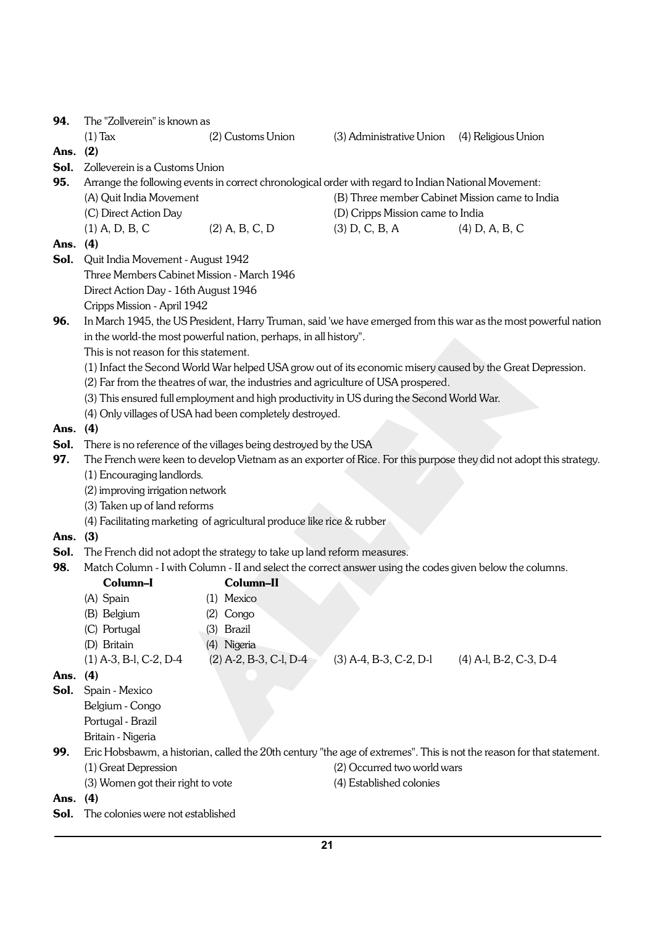94. The "Zollverein" is known as (1) Tax (2) Customs Union (3) Administrative Union (4) Religious Union Ans. (2) Sol. Zolleverein is a Customs Union 95. Arrange the following events in correct chronological order with regard to Indian National Movement: (A) Quit India Movement (B) Three member Cabinet Mission came to India (C) Direct Action Day (D) Cripps Mission came to India (1) A, D, B, C (2) A, B, C, D (3) D, C, B, A (4) D, A, B, C Ans. (4) Sol. Quit India Movement - August 1942 Three Members Cabinet Mission - March 1946 Direct Action Day - 16th August 1946 Cripps Mission - April 1942 96. In March 1945, the US President, Harry Truman, said 'we have emerged from this war as the most powerful nation in the world-the most powerful nation, perhaps, in all history". This is not reason for this statement. (1) Infact the Second World War helped USA grow out of its economic misery caused by the Great Depression. (2) Far from the theatres of war, the industries and agriculture of USA prospered. (3) This ensured full employment and high productivity in US during the Second World War. (4) Only villages of USA had been completely destroyed. Ans. (4) **Sol.** There is no reference of the villages being destroyed by the USA 97. The French were keen to develop Vietnam as an exporter of Rice. For this purpose they did not adopt this strategy. (1) Encouraging landlords. (2) improving irrigation network (3) Taken up of land reforms (4) Facilitating marketing of agricultural produce like rice & rubber Ans. (3) Sol. The French did not adopt the strategy to take up land reform measures. 98. Match Column - I with Column - II and select the correct answer using the codes given below the columns. Column–I Column–II (A) Spain (1) Mexico (B) Belgium (2) Congo (C) Portugal (3) Brazil (D) Britain (4) Nigeria (1) A-3, B-l, C-2, D-4 (2) A-2, B-3, C-l, D-4 (3) A-4, B-3, C-2, D-l (4) A-l, B-2, C-3, D-4 Ans. (4) Sol. Spain - Mexico Belgium - Congo Portugal - Brazil Britain - Nigeria 99. Eric Hobsbawm, a historian, called the 20th century "the age of extremes". This is not the reason for that statement. (1) Great Depression (2) Occurred two world wars (3) Women got their right to vote (4) Established colonies Ans. (4) Sol. The colonies were not established